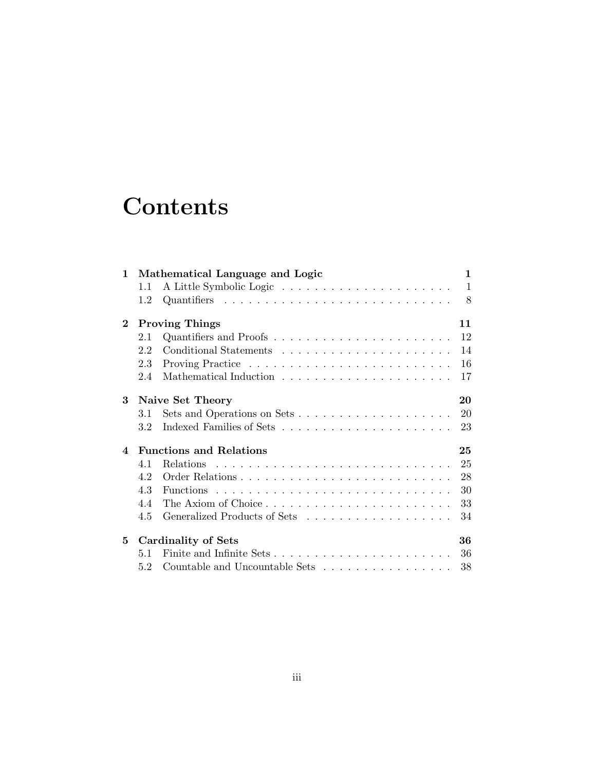# **Contents**

| $\mathbf{1}$           | Mathematical Language and Logic      |                                                                |              |  |  |  |  |  |  |
|------------------------|--------------------------------------|----------------------------------------------------------------|--------------|--|--|--|--|--|--|
|                        | 1.1                                  |                                                                | $\mathbf{1}$ |  |  |  |  |  |  |
|                        | 1.2                                  |                                                                | 8            |  |  |  |  |  |  |
| $\bf{2}$               |                                      | <b>Proving Things</b>                                          | 11           |  |  |  |  |  |  |
|                        | 2.1                                  |                                                                | 12           |  |  |  |  |  |  |
|                        | 2.2                                  |                                                                | 14           |  |  |  |  |  |  |
|                        | 2.3                                  |                                                                | 16           |  |  |  |  |  |  |
|                        | 2.4                                  |                                                                | 17           |  |  |  |  |  |  |
| 3                      |                                      | Naive Set Theory                                               | 20           |  |  |  |  |  |  |
|                        | 3.1                                  |                                                                | 20           |  |  |  |  |  |  |
|                        | 3.2                                  |                                                                | 23           |  |  |  |  |  |  |
| $\boldsymbol{\Lambda}$ | <b>Functions and Relations</b><br>25 |                                                                |              |  |  |  |  |  |  |
|                        | 4.1                                  |                                                                | 25           |  |  |  |  |  |  |
|                        | 4.2                                  |                                                                | 28           |  |  |  |  |  |  |
|                        | 4.3                                  |                                                                | 30           |  |  |  |  |  |  |
|                        | 44                                   |                                                                | 33           |  |  |  |  |  |  |
|                        | 4.5                                  |                                                                | 34           |  |  |  |  |  |  |
| 5                      | Cardinality of Sets<br>36            |                                                                |              |  |  |  |  |  |  |
|                        | 51                                   |                                                                |              |  |  |  |  |  |  |
|                        | 5.2                                  | Countable and Uncountable Sets $\dots \dots \dots \dots \dots$ | 38           |  |  |  |  |  |  |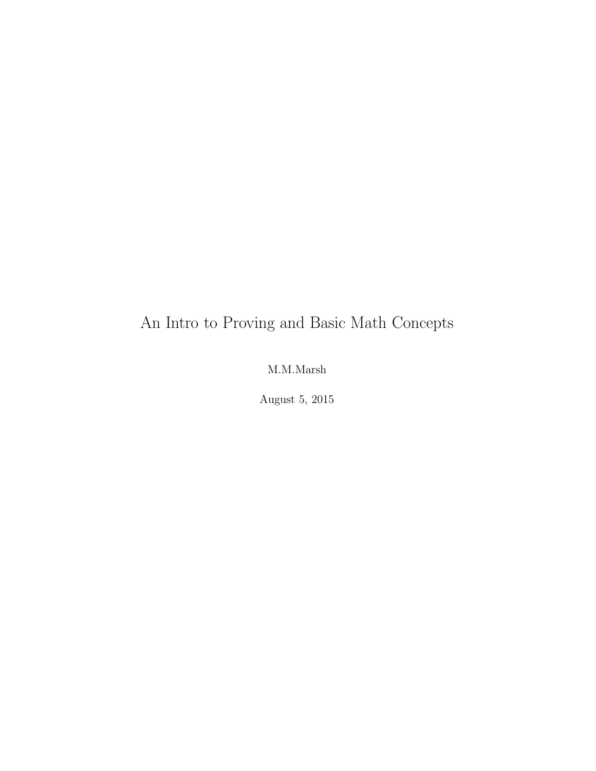## An Intro to Proving and Basic Math Concepts

### M.M.Marsh

August 5, 2015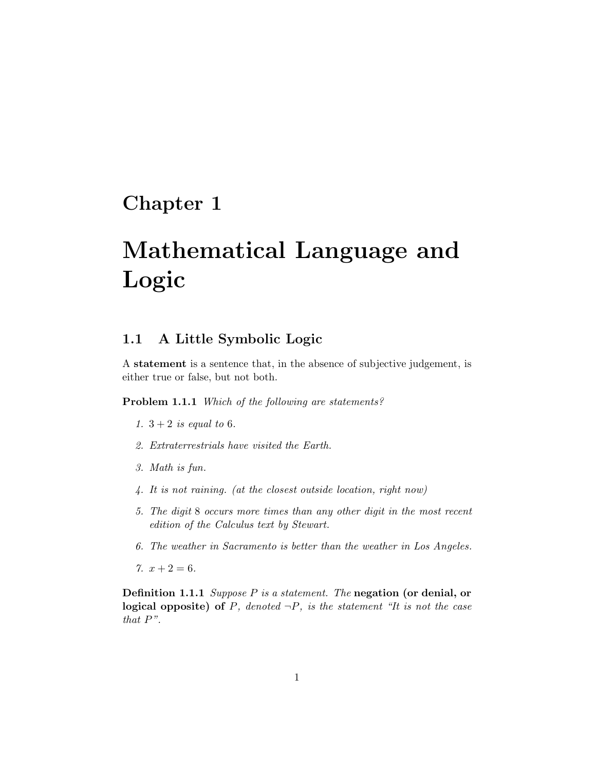### Chapter 1

# Mathematical Language and Logic

### 1.1 A Little Symbolic Logic

A statement is a sentence that, in the absence of subjective judgement, is either true or false, but not both.

Problem 1.1.1 Which of the following are statements?

- 1.  $3 + 2$  is equal to 6.
- 2. Extraterrestrials have visited the Earth.
- 3. Math is fun.
- 4. It is not raining. (at the closest outside location, right now)
- 5. The digit 8 occurs more times than any other digit in the most recent edition of the Calculus text by Stewart.
- 6. The weather in Sacramento is better than the weather in Los Angeles.
- 7.  $x + 2 = 6$ .

Definition 1.1.1 Suppose P is a statement. The negation (or denial, or logical opposite) of  $P$ , denoted  $\neg P$ , is the statement "It is not the case that P".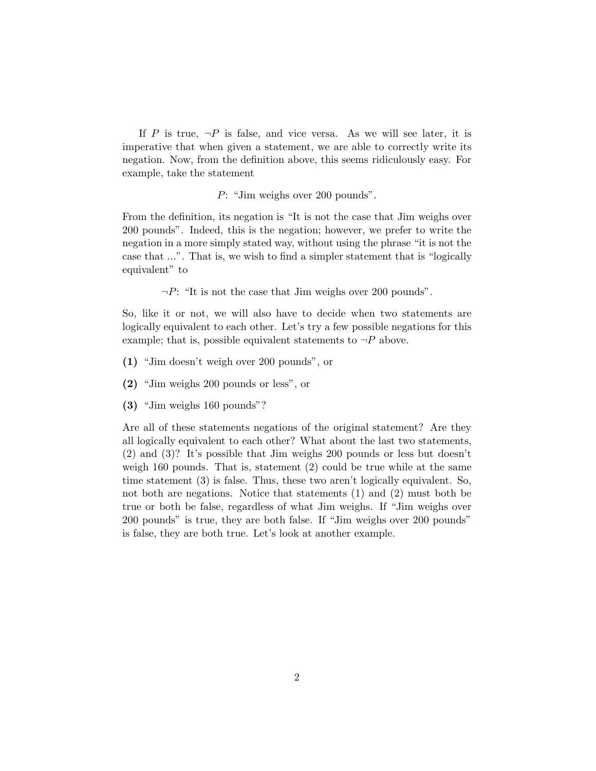If P is true,  $\neg P$  is false, and vice versa. As we will see later, it is imperative that when given a statement, we are able to correctly write its negation. Now, from the definition above, this seems ridiculously easy. For example, take the statement

P: "Jim weighs over 200 pounds".

From the definition, its negation is "It is not the case that Jim weighs over 200 pounds". Indeed, this is the negation; however, we prefer to write the negation in a more simply stated way, without using the phrase "it is not the case that ...". That is, we wish to find a simpler statement that is "logically equivalent" to

 $\neg P$ : "It is not the case that Jim weighs over 200 pounds".

So, like it or not, we will also have to decide when two statements are logically equivalent to each other. Let's try a few possible negations for this example; that is, possible equivalent statements to  $\neg P$  above.

- (1) "Jim doesn't weigh over 200 pounds", or
- (2) "Jim weighs 200 pounds or less", or
- (3) "Jim weighs 160 pounds"?

Are all of these statements negations of the original statement? Are they all logically equivalent to each other? What about the last two statements, (2) and (3)? It's possible that Jim weighs 200 pounds or less but doesn't weigh 160 pounds. That is, statement (2) could be true while at the same time statement (3) is false. Thus, these two aren't logically equivalent. So, not both are negations. Notice that statements (1) and (2) must both be true or both be false, regardless of what Jim weighs. If "Jim weighs over 200 pounds" is true, they are both false. If "Jim weighs over 200 pounds" is false, they are both true. Let's look at another example.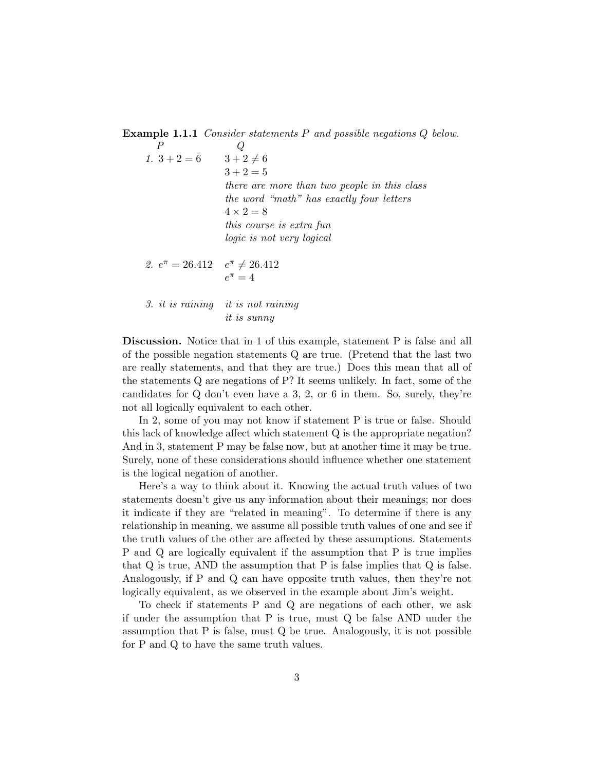Example 1.1.1 Consider statements P and possible negations Q below.

 $P$  Q 1.  $3 + 2 = 6$ <br>3+2 $\neq 6$  $3 + 2 = 5$ there are more than two people in this class the word "math" has exactly four letters  $4 \times 2 = 8$ this course is extra fun logic is not very logical 2.  $e^{\pi} = 26.412$   $e^{\pi} \neq 26.412$  $e^{\pi} = 4$ 

3. it is raining it is not raining it is sunny

Discussion. Notice that in 1 of this example, statement P is false and all of the possible negation statements Q are true. (Pretend that the last two are really statements, and that they are true.) Does this mean that all of the statements Q are negations of P? It seems unlikely. In fact, some of the candidates for Q don't even have a 3, 2, or 6 in them. So, surely, they're not all logically equivalent to each other.

In 2, some of you may not know if statement P is true or false. Should this lack of knowledge affect which statement Q is the appropriate negation? And in 3, statement P may be false now, but at another time it may be true. Surely, none of these considerations should influence whether one statement is the logical negation of another.

Here's a way to think about it. Knowing the actual truth values of two statements doesn't give us any information about their meanings; nor does it indicate if they are "related in meaning". To determine if there is any relationship in meaning, we assume all possible truth values of one and see if the truth values of the other are affected by these assumptions. Statements P and Q are logically equivalent if the assumption that P is true implies that Q is true, AND the assumption that P is false implies that Q is false. Analogously, if P and Q can have opposite truth values, then they're not logically equivalent, as we observed in the example about Jim's weight.

To check if statements P and Q are negations of each other, we ask if under the assumption that P is true, must Q be false AND under the assumption that P is false, must Q be true. Analogously, it is not possible for P and Q to have the same truth values.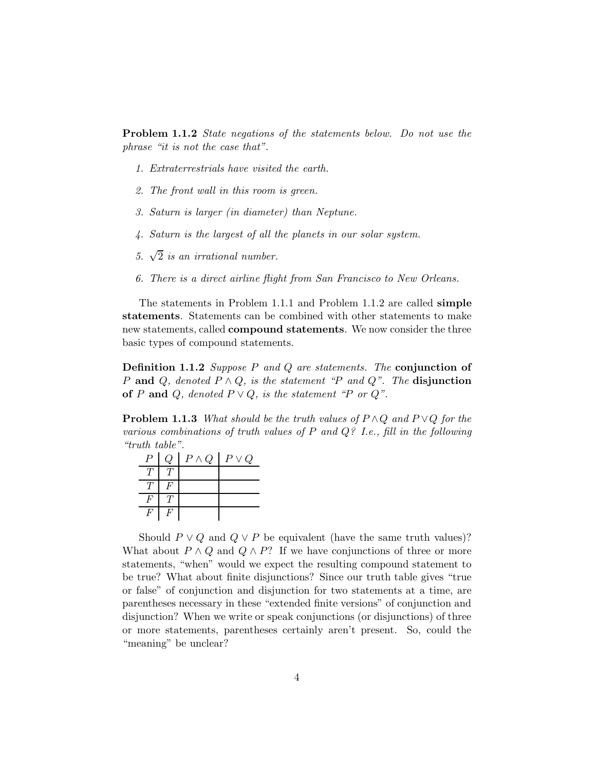Problem 1.1.2 State negations of the statements below. Do not use the phrase "it is not the case that".

- 1. Extraterrestrials have visited the earth.
- 2. The front wall in this room is green.
- 3. Saturn is larger (in diameter) than Neptune.
- 4. Saturn is the largest of all the planets in our solar system.
- 5.  $\sqrt{2}$  is an irrational number.
- 6. There is a direct airline flight from San Francisco to New Orleans.

The statements in Problem 1.1.1 and Problem 1.1.2 are called simple statements. Statements can be combined with other statements to make new statements, called compound statements. We now consider the three basic types of compound statements.

Definition 1.1.2 Suppose P and Q are statements. The conjunction of P and Q, denoted  $P \wedge Q$ , is the statement "P and Q". The disjunction of P and Q, denoted  $P \vee Q$ , is the statement "P or Q".

**Problem 1.1.3** What should be the truth values of  $P \wedge Q$  and  $P \vee Q$  for the various combinations of truth values of  $P$  and  $Q$ ? I.e., fill in the following "truth table".

| $\boldsymbol{P}$ | Q | $P \wedge Q$ | $P \vee Q$ |
|------------------|---|--------------|------------|
|                  |   |              |            |
| T                | F |              |            |
|                  |   |              |            |
| F                | F |              |            |

Should  $P \vee Q$  and  $Q \vee P$  be equivalent (have the same truth values)? What about  $P \wedge Q$  and  $Q \wedge P$ ? If we have conjunctions of three or more statements, "when" would we expect the resulting compound statement to be true? What about finite disjunctions? Since our truth table gives "true or false" of conjunction and disjunction for two statements at a time, are parentheses necessary in these "extended finite versions" of conjunction and disjunction? When we write or speak conjunctions (or disjunctions) of three or more statements, parentheses certainly aren't present. So, could the "meaning" be unclear?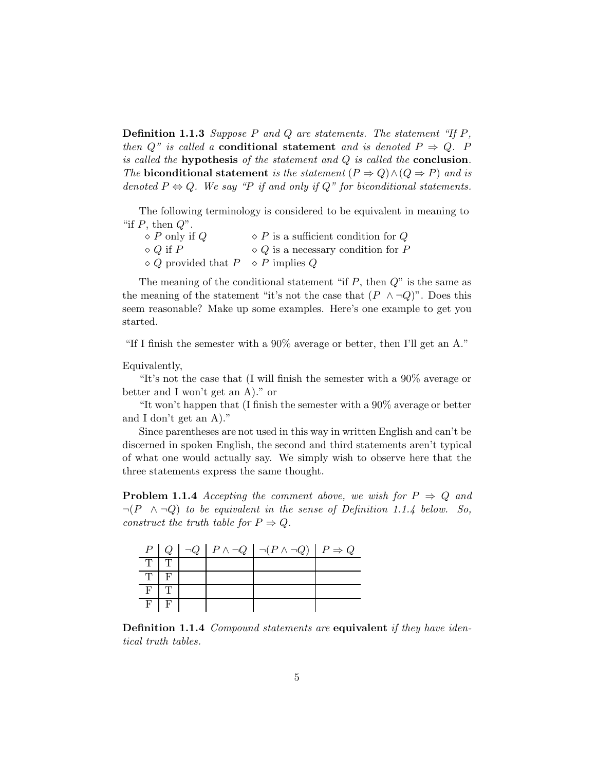**Definition 1.1.3** Suppose P and Q are statements. The statement "If  $P$ , then Q" is called a **conditional statement** and is denoted  $P \Rightarrow Q$ . P is called the **hypothesis** of the statement and  $Q$  is called the **conclusion**. The biconditional statement is the statement  $(P \Rightarrow Q) \land (Q \Rightarrow P)$  and is denoted  $P \Leftrightarrow Q$ . We say "P if and only if Q" for biconditional statements.

The following terminology is considered to be equivalent in meaning to "if  $P$ , then  $Q$ ".

| $\Diamond P$ only if Q                              | $\Diamond$ P is a sufficient condition for Q |
|-----------------------------------------------------|----------------------------------------------|
| $\Diamond$ Q if P                                   | $\Diamond Q$ is a necessary condition for P  |
| $\Diamond Q$ provided that $P \Diamond P$ implies Q |                                              |

The meaning of the conditional statement "if  $P$ , then  $Q$ " is the same as the meaning of the statement "it's not the case that  $(P \wedge \neg Q)$ ". Does this seem reasonable? Make up some examples. Here's one example to get you started.

"If I finish the semester with a 90% average or better, then I'll get an A."

Equivalently,

"It's not the case that (I will finish the semester with a 90% average or better and I won't get an A)." or

"It won't happen that (I finish the semester with a 90% average or better and I don't get an A)."

Since parentheses are not used in this way in written English and can't be discerned in spoken English, the second and third statements aren't typical of what one would actually say. We simply wish to observe here that the three statements express the same thought.

**Problem 1.1.4** Accepting the comment above, we wish for  $P \Rightarrow Q$  and  $\neg (P \land \neg Q)$  to be equivalent in the sense of Definition 1.1.4 below. So, construct the truth table for  $P \Rightarrow Q$ .

|   |  | $P   Q   \neg Q   P \land \neg Q   \neg (P \land \neg Q)   P \Rightarrow Q$ |  |
|---|--|-----------------------------------------------------------------------------|--|
|   |  |                                                                             |  |
|   |  |                                                                             |  |
| F |  |                                                                             |  |
| E |  |                                                                             |  |

Definition 1.1.4 Compound statements are equivalent if they have identical truth tables.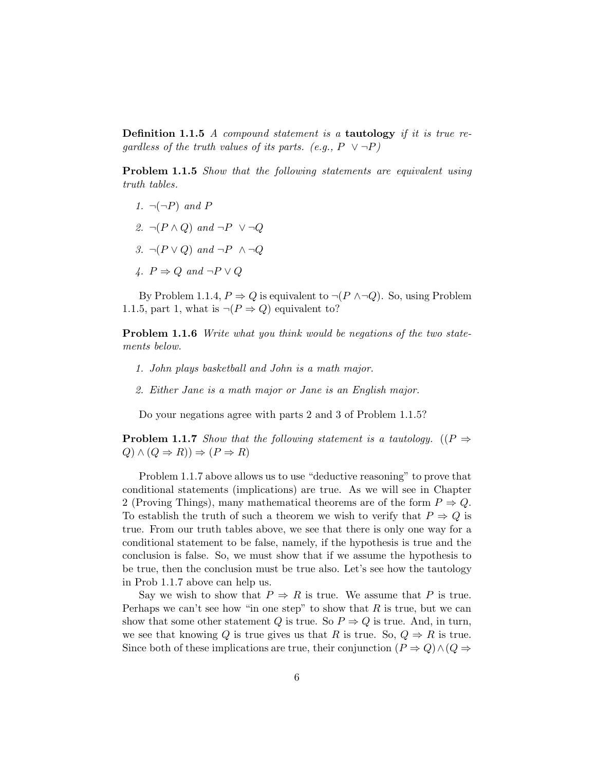Definition 1.1.5 A compound statement is a tautology if it is true regardless of the truth values of its parts. (e.g.,  $P \lor \neg P$ )

Problem 1.1.5 Show that the following statements are equivalent using truth tables.

- 1.  $\neg(\neg P)$  and P
- 2.  $\neg (P \land Q)$  and  $\neg P \lor \neg Q$
- 3.  $\neg (P \lor Q)$  and  $\neg P \land \neg Q$
- 4.  $P \Rightarrow Q$  and  $\neg P \vee Q$

By Problem 1.1.4,  $P \Rightarrow Q$  is equivalent to  $\neg (P \land \neg Q)$ . So, using Problem 1.1.5, part 1, what is  $\neg (P \Rightarrow Q)$  equivalent to?

Problem 1.1.6 Write what you think would be negations of the two statements below.

- 1. John plays basketball and John is a math major.
- 2. Either Jane is a math major or Jane is an English major.

Do your negations agree with parts 2 and 3 of Problem 1.1.5?

**Problem 1.1.7** Show that the following statement is a tautology. (( $P \Rightarrow$  $(Q) \wedge (Q \Rightarrow R)$ )  $\Rightarrow (P \Rightarrow R)$ 

Problem 1.1.7 above allows us to use "deductive reasoning" to prove that conditional statements (implications) are true. As we will see in Chapter 2 (Proving Things), many mathematical theorems are of the form  $P \Rightarrow Q$ . To establish the truth of such a theorem we wish to verify that  $P \Rightarrow Q$  is true. From our truth tables above, we see that there is only one way for a conditional statement to be false, namely, if the hypothesis is true and the conclusion is false. So, we must show that if we assume the hypothesis to be true, then the conclusion must be true also. Let's see how the tautology in Prob 1.1.7 above can help us.

Say we wish to show that  $P \Rightarrow R$  is true. We assume that P is true. Perhaps we can't see how "in one step" to show that  $R$  is true, but we can show that some other statement Q is true. So  $P \Rightarrow Q$  is true. And, in turn, we see that knowing Q is true gives us that R is true. So,  $Q \Rightarrow R$  is true. Since both of these implications are true, their conjunction  $(P \Rightarrow Q) \wedge (Q \Rightarrow$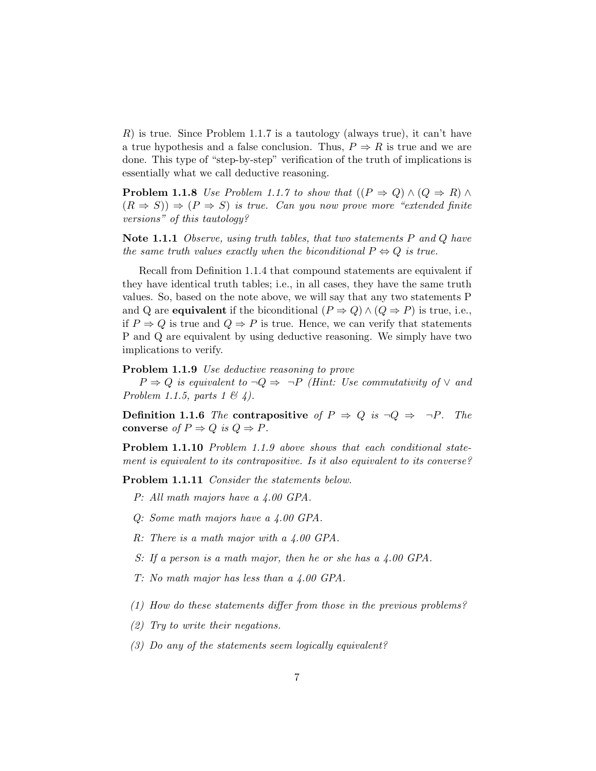$R$ ) is true. Since Problem 1.1.7 is a tautology (always true), it can't have a true hypothesis and a false conclusion. Thus,  $P \Rightarrow R$  is true and we are done. This type of "step-by-step" verification of the truth of implications is essentially what we call deductive reasoning.

**Problem 1.1.8** Use Problem 1.1.7 to show that  $((P \Rightarrow Q) \land (Q \Rightarrow R) \land$  $(R \Rightarrow S)$   $\Rightarrow$   $(P \Rightarrow S)$  is true. Can you now prove more "extended finite" versions" of this tautology?

Note 1.1.1 Observe, using truth tables, that two statements  $P$  and  $Q$  have the same truth values exactly when the biconditional  $P \Leftrightarrow Q$  is true.

Recall from Definition 1.1.4 that compound statements are equivalent if they have identical truth tables; i.e., in all cases, they have the same truth values. So, based on the note above, we will say that any two statements P and Q are **equivalent** if the biconditional  $(P \Rightarrow Q) \land (Q \Rightarrow P)$  is true, i.e., if  $P \Rightarrow Q$  is true and  $Q \Rightarrow P$  is true. Hence, we can verify that statements P and Q are equivalent by using deductive reasoning. We simply have two implications to verify.

#### Problem 1.1.9 Use deductive reasoning to prove

 $P \Rightarrow Q$  is equivalent to  $\neg Q \Rightarrow \neg P$  (Hint: Use commutativity of  $\vee$  and Problem 1.1.5, parts 1  $\mathcal{B}$  4).

**Definition 1.1.6** The contrapositive of  $P \Rightarrow Q$  is  $\neg Q \Rightarrow \neg P$ . The converse of  $P \Rightarrow Q$  is  $Q \Rightarrow P$ .

Problem 1.1.10 Problem 1.1.9 above shows that each conditional statement is equivalent to its contrapositive. Is it also equivalent to its converse?

Problem 1.1.11 Consider the statements below.

- P: All math majors have a 4.00 GPA.
- Q: Some math majors have a 4.00 GPA.
- R: There is a math major with a 4.00 GPA.
- S: If a person is a math major, then he or she has a 4.00 GPA.
- T: No math major has less than a 4.00 GPA.
- (1) How do these statements differ from those in the previous problems?
- (2) Try to write their negations.
- (3) Do any of the statements seem logically equivalent?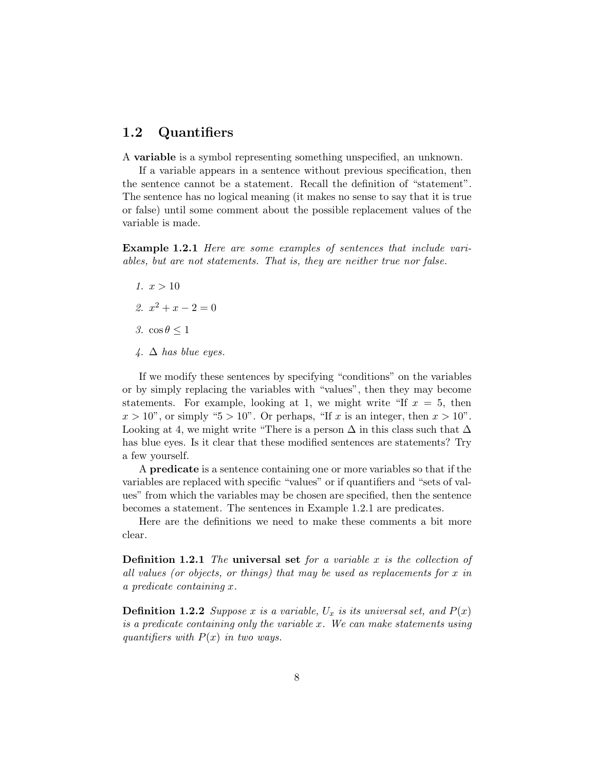### 1.2 Quantifiers

A variable is a symbol representing something unspecified, an unknown.

If a variable appears in a sentence without previous specification, then the sentence cannot be a statement. Recall the definition of "statement". The sentence has no logical meaning (it makes no sense to say that it is true or false) until some comment about the possible replacement values of the variable is made.

Example 1.2.1 Here are some examples of sentences that include variables, but are not statements. That is, they are neither true nor false.

- 1.  $x > 10$
- 2.  $x^2 + x 2 = 0$
- 3.  $\cos \theta \leq 1$
- $\downarrow$ .  $\Delta$  has blue eyes.

If we modify these sentences by specifying "conditions" on the variables or by simply replacing the variables with "values", then they may become statements. For example, looking at 1, we might write "If  $x = 5$ , then  $x > 10$ ", or simply "5 > 10". Or perhaps, "If x is an integer, then  $x > 10$ ". Looking at 4, we might write "There is a person  $\Delta$  in this class such that  $\Delta$ has blue eyes. Is it clear that these modified sentences are statements? Try a few yourself.

A predicate is a sentence containing one or more variables so that if the variables are replaced with specific "values" or if quantifiers and "sets of values" from which the variables may be chosen are specified, then the sentence becomes a statement. The sentences in Example 1.2.1 are predicates.

Here are the definitions we need to make these comments a bit more clear.

**Definition 1.2.1** The universal set for a variable x is the collection of all values (or objects, or things) that may be used as replacements for x in a predicate containing x.

**Definition 1.2.2** Suppose x is a variable,  $U_x$  is its universal set, and  $P(x)$ is a predicate containing only the variable x. We can make statements using quantifiers with  $P(x)$  in two ways.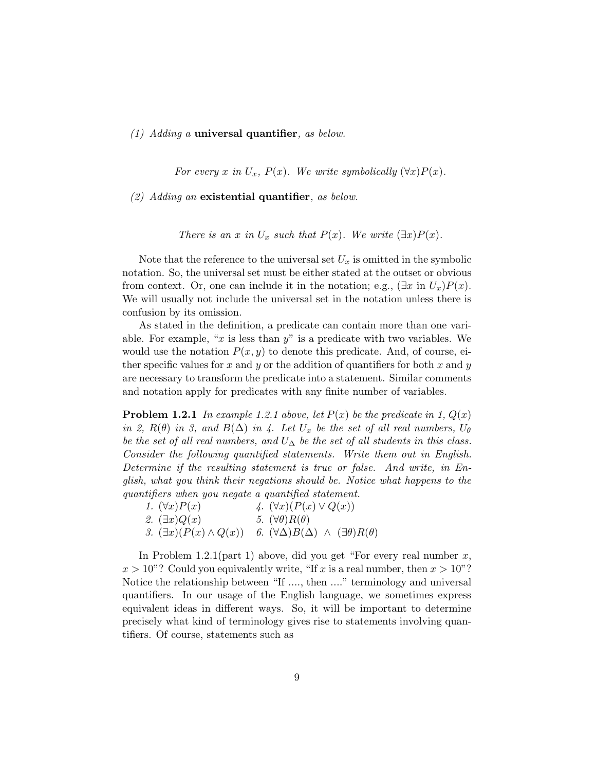#### (1) Adding a universal quantifier, as below.

For every x in  $U_x$ ,  $P(x)$ . We write symbolically  $(\forall x)P(x)$ .

(2) Adding an existential quantifier, as below.

There is an x in  $U_x$  such that  $P(x)$ . We write  $(\exists x)P(x)$ .

Note that the reference to the universal set  $U_x$  is omitted in the symbolic notation. So, the universal set must be either stated at the outset or obvious from context. Or, one can include it in the notation; e.g.,  $(\exists x \text{ in } U_x)P(x)$ . We will usually not include the universal set in the notation unless there is confusion by its omission.

As stated in the definition, a predicate can contain more than one variable. For example, "x is less than  $y$ " is a predicate with two variables. We would use the notation  $P(x, y)$  to denote this predicate. And, of course, either specific values for x and y or the addition of quantifiers for both x and y are necessary to transform the predicate into a statement. Similar comments and notation apply for predicates with any finite number of variables.

**Problem 1.2.1** In example 1.2.1 above, let  $P(x)$  be the predicate in 1,  $Q(x)$ in 2,  $R(\theta)$  in 3, and  $B(\Delta)$  in 4. Let  $U_x$  be the set of all real numbers,  $U_{\theta}$ be the set of all real numbers, and  $U_{\Delta}$  be the set of all students in this class. Consider the following quantified statements. Write them out in English. Determine if the resulting statement is true or false. And write, in English, what you think their negations should be. Notice what happens to the quantifiers when you negate a quantified statement.

| 1. $(\forall x)P(x)$               | 4. $(\forall x)(P(x) \vee Q(x))$                                |
|------------------------------------|-----------------------------------------------------------------|
| 2. $(\exists x)Q(x)$               | 5. $(\forall \theta) R(\theta)$                                 |
| 3. $(\exists x)(P(x) \wedge Q(x))$ | 6. $(\forall \Delta)B(\Delta) \wedge (\exists \theta)R(\theta)$ |

In Problem 1.2.1(part 1) above, did you get "For every real number  $x$ ,  $x > 10$ "? Could you equivalently write, "If x is a real number, then  $x > 10$ "? Notice the relationship between "If ...., then ...." terminology and universal quantifiers. In our usage of the English language, we sometimes express equivalent ideas in different ways. So, it will be important to determine precisely what kind of terminology gives rise to statements involving quantifiers. Of course, statements such as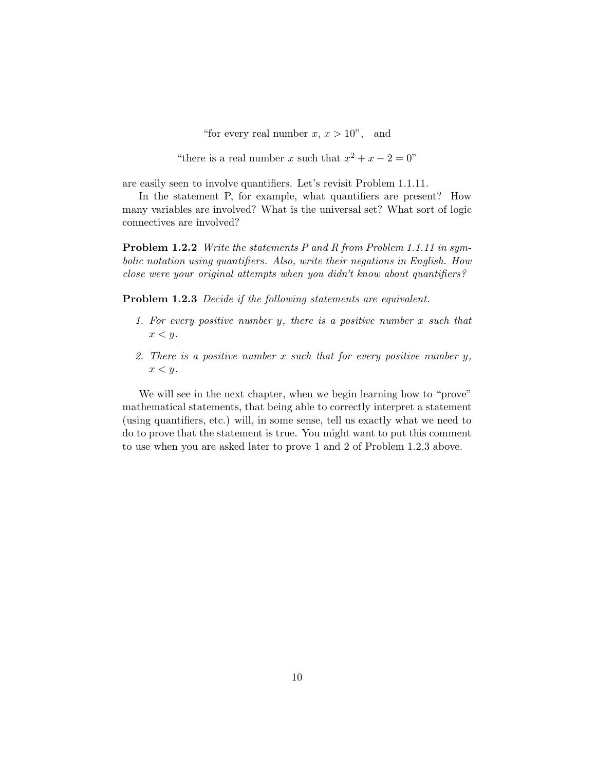"for every real number  $x, x > 10$ ", and

"there is a real number x such that  $x^2 + x - 2 = 0$ "

are easily seen to involve quantifiers. Let's revisit Problem 1.1.11.

In the statement P, for example, what quantifiers are present? How many variables are involved? What is the universal set? What sort of logic connectives are involved?

Problem 1.2.2 Write the statements P and R from Problem 1.1.11 in symbolic notation using quantifiers. Also, write their negations in English. How close were your original attempts when you didn't know about quantifiers?

Problem 1.2.3 Decide if the following statements are equivalent.

- 1. For every positive number y, there is a positive number x such that  $x < y$ .
- 2. There is a positive number x such that for every positive number  $y$ ,  $x < y$ .

We will see in the next chapter, when we begin learning how to "prove" mathematical statements, that being able to correctly interpret a statement (using quantifiers, etc.) will, in some sense, tell us exactly what we need to do to prove that the statement is true. You might want to put this comment to use when you are asked later to prove 1 and 2 of Problem 1.2.3 above.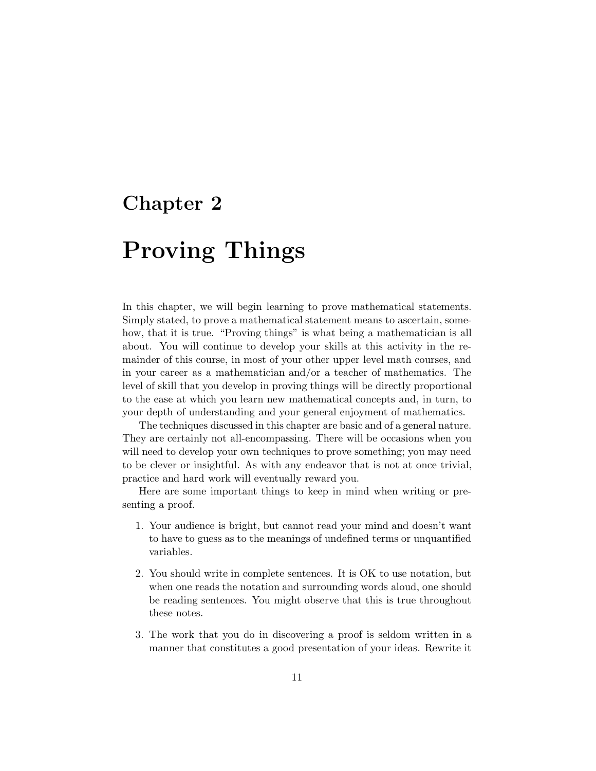### Chapter 2

# Proving Things

In this chapter, we will begin learning to prove mathematical statements. Simply stated, to prove a mathematical statement means to ascertain, somehow, that it is true. "Proving things" is what being a mathematician is all about. You will continue to develop your skills at this activity in the remainder of this course, in most of your other upper level math courses, and in your career as a mathematician and/or a teacher of mathematics. The level of skill that you develop in proving things will be directly proportional to the ease at which you learn new mathematical concepts and, in turn, to your depth of understanding and your general enjoyment of mathematics.

The techniques discussed in this chapter are basic and of a general nature. They are certainly not all-encompassing. There will be occasions when you will need to develop your own techniques to prove something; you may need to be clever or insightful. As with any endeavor that is not at once trivial, practice and hard work will eventually reward you.

Here are some important things to keep in mind when writing or presenting a proof.

- 1. Your audience is bright, but cannot read your mind and doesn't want to have to guess as to the meanings of undefined terms or unquantified variables.
- 2. You should write in complete sentences. It is OK to use notation, but when one reads the notation and surrounding words aloud, one should be reading sentences. You might observe that this is true throughout these notes.
- 3. The work that you do in discovering a proof is seldom written in a manner that constitutes a good presentation of your ideas. Rewrite it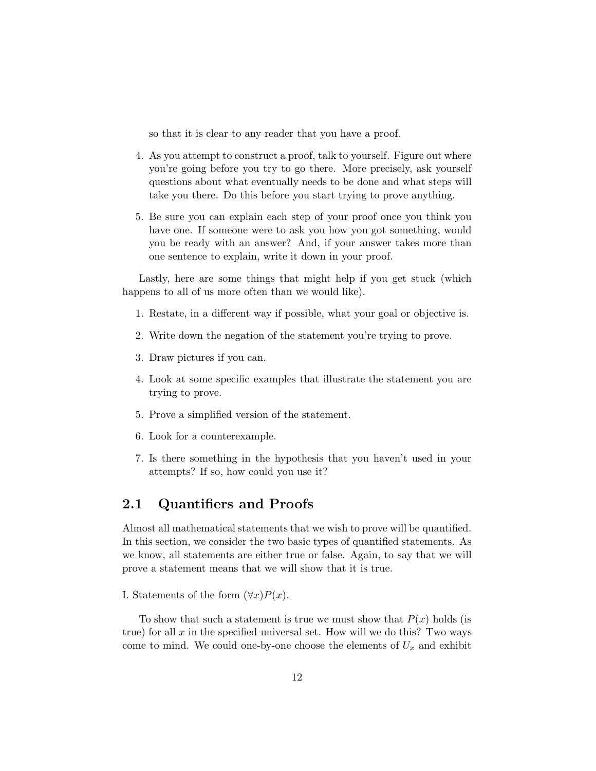so that it is clear to any reader that you have a proof.

- 4. As you attempt to construct a proof, talk to yourself. Figure out where you're going before you try to go there. More precisely, ask yourself questions about what eventually needs to be done and what steps will take you there. Do this before you start trying to prove anything.
- 5. Be sure you can explain each step of your proof once you think you have one. If someone were to ask you how you got something, would you be ready with an answer? And, if your answer takes more than one sentence to explain, write it down in your proof.

Lastly, here are some things that might help if you get stuck (which happens to all of us more often than we would like).

- 1. Restate, in a different way if possible, what your goal or objective is.
- 2. Write down the negation of the statement you're trying to prove.
- 3. Draw pictures if you can.
- 4. Look at some specific examples that illustrate the statement you are trying to prove.
- 5. Prove a simplified version of the statement.
- 6. Look for a counterexample.
- 7. Is there something in the hypothesis that you haven't used in your attempts? If so, how could you use it?

### 2.1 Quantifiers and Proofs

Almost all mathematical statements that we wish to prove will be quantified. In this section, we consider the two basic types of quantified statements. As we know, all statements are either true or false. Again, to say that we will prove a statement means that we will show that it is true.

#### I. Statements of the form  $(\forall x)P(x)$ .

To show that such a statement is true we must show that  $P(x)$  holds (is true) for all  $x$  in the specified universal set. How will we do this? Two ways come to mind. We could one-by-one choose the elements of  $U_x$  and exhibit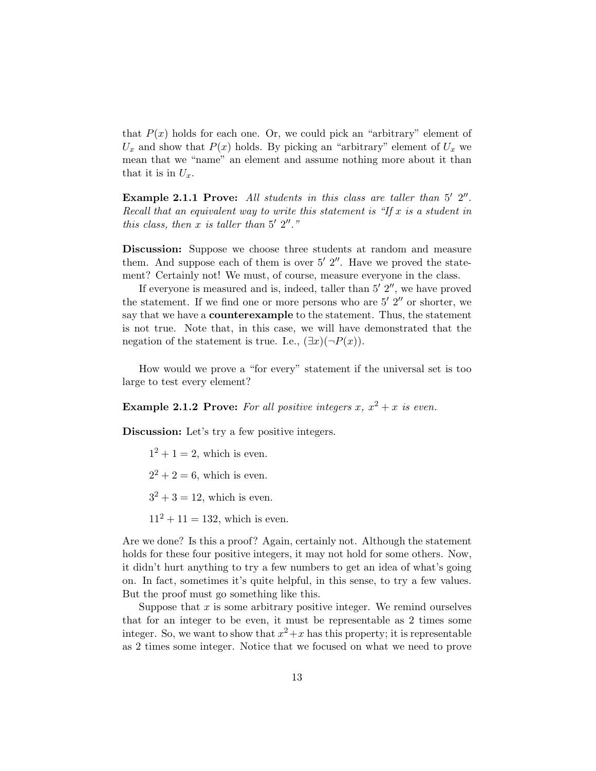that  $P(x)$  holds for each one. Or, we could pick an "arbitrary" element of  $U_x$  and show that  $P(x)$  holds. By picking an "arbitrary" element of  $U_x$  we mean that we "name" an element and assume nothing more about it than that it is in  $U_x$ .

Example 2.1.1 Prove: All students in this class are taller than  $5'$   $2''$ . Recall that an equivalent way to write this statement is "If  $x$  is a student in this class, then  $x$  is taller than  $5'$   $2''.$  "

Discussion: Suppose we choose three students at random and measure them. And suppose each of them is over  $5'$   $2''$ . Have we proved the statement? Certainly not! We must, of course, measure everyone in the class.

If everyone is measured and is, indeed, taller than  $5'$   $2''$ , we have proved the statement. If we find one or more persons who are  $5'$   $2''$  or shorter, we say that we have a counterexample to the statement. Thus, the statement is not true. Note that, in this case, we will have demonstrated that the negation of the statement is true. I.e.,  $(\exists x)(\neg P(x))$ .

How would we prove a "for every" statement if the universal set is too large to test every element?

**Example 2.1.2 Prove:** For all positive integers x,  $x^2 + x$  is even.

Discussion: Let's try a few positive integers.

 $1^2 + 1 = 2$ , which is even.

 $2^2 + 2 = 6$ , which is even.

 $3^2 + 3 = 12$ , which is even.

 $11^2 + 11 = 132$ , which is even.

Are we done? Is this a proof? Again, certainly not. Although the statement holds for these four positive integers, it may not hold for some others. Now, it didn't hurt anything to try a few numbers to get an idea of what's going on. In fact, sometimes it's quite helpful, in this sense, to try a few values. But the proof must go something like this.

Suppose that  $x$  is some arbitrary positive integer. We remind ourselves that for an integer to be even, it must be representable as 2 times some integer. So, we want to show that  $x^2 + x$  has this property; it is representable as 2 times some integer. Notice that we focused on what we need to prove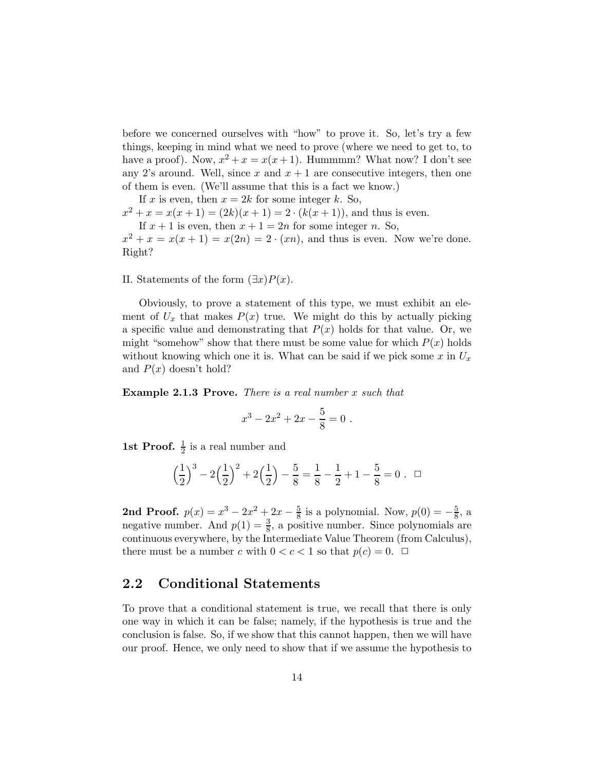before we concerned ourselves with "how" to prove it. So, let's try a few things, keeping in mind what we need to prove (where we need to get to, to have a proof). Now,  $x^2 + x = x(x+1)$ . Hummmm? What now? I don't see any 2's around. Well, since x and  $x + 1$  are consecutive integers, then one of them is even. (We'll assume that this is a fact we know.)

If x is even, then  $x = 2k$  for some integer k. So,  $x^2 + x = x(x+1) = (2k)(x+1) = 2 \cdot (k(x+1))$ , and thus is even. If  $x + 1$  is even, then  $x + 1 = 2n$  for some integer n. So,  $x^2 + x = x(x + 1) = x(2n) = 2 \cdot (xn)$ , and thus is even. Now we're done. Right?

II. Statements of the form  $(\exists x)P(x)$ .

Obviously, to prove a statement of this type, we must exhibit an element of  $U_x$  that makes  $P(x)$  true. We might do this by actually picking a specific value and demonstrating that  $P(x)$  holds for that value. Or, we might "somehow" show that there must be some value for which  $P(x)$  holds without knowing which one it is. What can be said if we pick some x in  $U_x$ and  $P(x)$  doesn't hold?

Example 2.1.3 Prove. There is a real number x such that

$$
x^3 - 2x^2 + 2x - \frac{5}{8} = 0.
$$

**1st Proof.**  $\frac{1}{2}$  is a real number and

$$
\left(\frac{1}{2}\right)^3 - 2\left(\frac{1}{2}\right)^2 + 2\left(\frac{1}{2}\right) - \frac{5}{8} = \frac{1}{8} - \frac{1}{2} + 1 - \frac{5}{8} = 0 \ . \ \Box
$$

2nd Proof.  $p(x) = x^3 - 2x^2 + 2x - \frac{5}{8}$  is a polynomial. Now,  $p(0) = -\frac{5}{8}$ , a negative number. And  $p(1) = \frac{3}{8}$ , a positive number. Since polynomials are continuous everywhere, by the Intermediate Value Theorem (from Calculus), there must be a number c with  $0 < c < 1$  so that  $p(c) = 0$ .  $\Box$ 

### 2.2 Conditional Statements

To prove that a conditional statement is true, we recall that there is only one way in which it can be false; namely, if the hypothesis is true and the conclusion is false. So, if we show that this cannot happen, then we will have our proof. Hence, we only need to show that if we assume the hypothesis to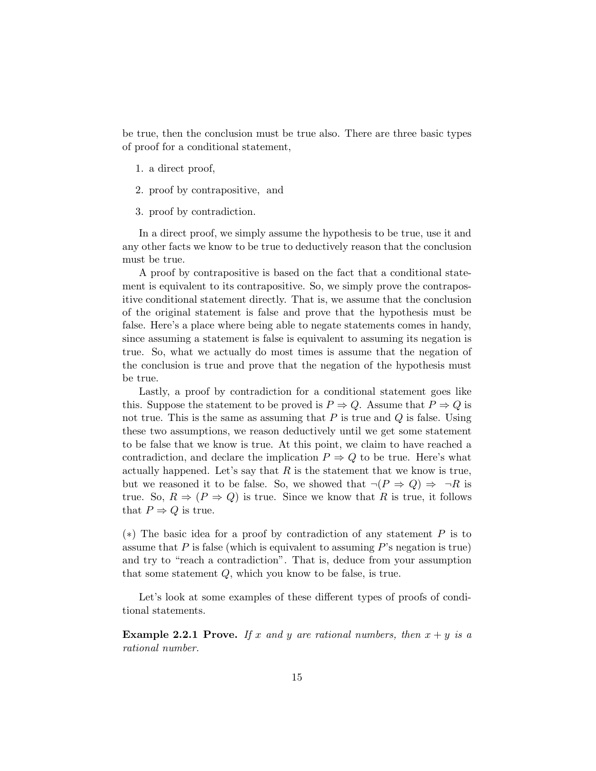be true, then the conclusion must be true also. There are three basic types of proof for a conditional statement,

- 1. a direct proof,
- 2. proof by contrapositive, and
- 3. proof by contradiction.

In a direct proof, we simply assume the hypothesis to be true, use it and any other facts we know to be true to deductively reason that the conclusion must be true.

A proof by contrapositive is based on the fact that a conditional statement is equivalent to its contrapositive. So, we simply prove the contrapositive conditional statement directly. That is, we assume that the conclusion of the original statement is false and prove that the hypothesis must be false. Here's a place where being able to negate statements comes in handy, since assuming a statement is false is equivalent to assuming its negation is true. So, what we actually do most times is assume that the negation of the conclusion is true and prove that the negation of the hypothesis must be true.

Lastly, a proof by contradiction for a conditional statement goes like this. Suppose the statement to be proved is  $P \Rightarrow Q$ . Assume that  $P \Rightarrow Q$  is not true. This is the same as assuming that  $P$  is true and  $Q$  is false. Using these two assumptions, we reason deductively until we get some statement to be false that we know is true. At this point, we claim to have reached a contradiction, and declare the implication  $P \Rightarrow Q$  to be true. Here's what actually happened. Let's say that  $R$  is the statement that we know is true, but we reasoned it to be false. So, we showed that  $\neg (P \Rightarrow Q) \Rightarrow \neg R$  is true. So,  $R \Rightarrow (P \Rightarrow Q)$  is true. Since we know that R is true, it follows that  $P \Rightarrow Q$  is true.

(\*) The basic idea for a proof by contradiction of any statement  $P$  is to assume that  $P$  is false (which is equivalent to assuming  $P$ 's negation is true) and try to "reach a contradiction". That is, deduce from your assumption that some statement Q, which you know to be false, is true.

Let's look at some examples of these different types of proofs of conditional statements.

**Example 2.2.1 Prove.** If x and y are rational numbers, then  $x + y$  is a rational number.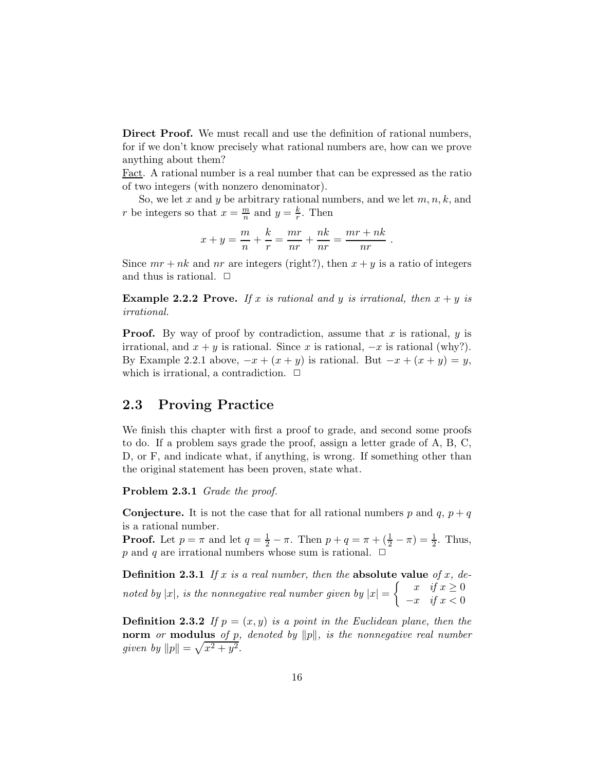Direct Proof. We must recall and use the definition of rational numbers, for if we don't know precisely what rational numbers are, how can we prove anything about them?

Fact. A rational number is a real number that can be expressed as the ratio of two integers (with nonzero denominator).

So, we let x and y be arbitrary rational numbers, and we let  $m, n, k$ , and r be integers so that  $x = \frac{m}{n}$  $\frac{m}{n}$  and  $y = \frac{k}{r}$  $\frac{\kappa}{r}$ . Then

$$
x + y = \frac{m}{n} + \frac{k}{r} = \frac{mr}{nr} + \frac{nk}{nr} = \frac{mr + nk}{nr}
$$

.

Since  $mr + nk$  and nr are integers (right?), then  $x + y$  is a ratio of integers and thus is rational.  $\Box$ 

**Example 2.2.2 Prove.** If x is rational and y is irrational, then  $x + y$  is irrational.

**Proof.** By way of proof by contradiction, assume that x is rational,  $y$  is irrational, and  $x + y$  is rational. Since x is rational,  $-x$  is rational (why?). By Example 2.2.1 above,  $-x + (x + y)$  is rational. But  $-x + (x + y) = y$ , which is irrational, a contradiction.  $\Box$ 

### 2.3 Proving Practice

We finish this chapter with first a proof to grade, and second some proofs to do. If a problem says grade the proof, assign a letter grade of A, B, C, D, or F, and indicate what, if anything, is wrong. If something other than the original statement has been proven, state what.

Problem 2.3.1 Grade the proof.

**Conjecture.** It is not the case that for all rational numbers p and q,  $p + q$ is a rational number.

**Proof.** Let  $p = \pi$  and let  $q = \frac{1}{2} - \pi$ . Then  $p + q = \pi + (\frac{1}{2} - \pi) = \frac{1}{2}$ . Thus, p and q are irrational numbers whose sum is rational.  $\Box$ 

**Definition 2.3.1** If x is a real number, then the absolute value of x, denoted by |x|, is the nonnegative real number given by  $|x| = \begin{cases} x & \text{if } x \geq 0 \\ -x & \text{if } x < 0 \end{cases}$  $-x$  if  $x < 0$ 

**Definition 2.3.2** If  $p = (x, y)$  is a point in the Euclidean plane, then the norm or modulus of p, denoted by  $||p||$ , is the nonnegative real number given by  $||p|| = \sqrt{x^2 + y^2}$ .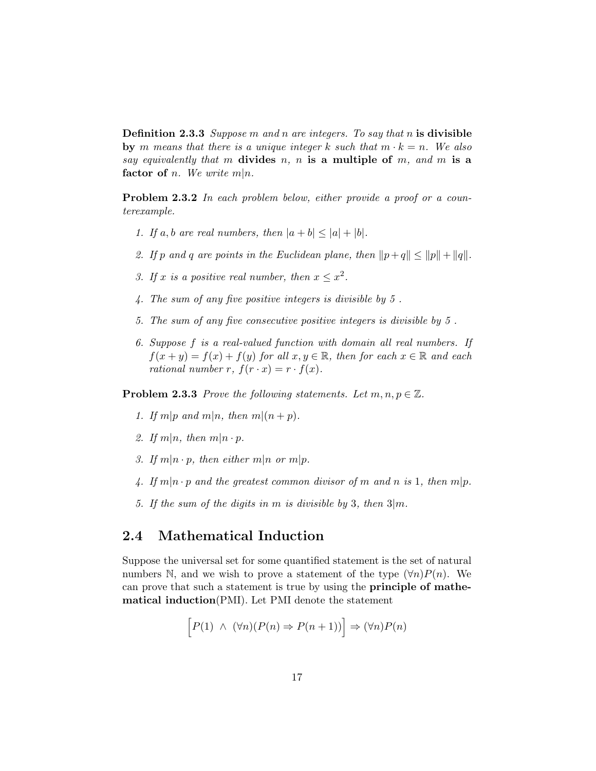**Definition 2.3.3** Suppose m and n are integers. To say that n is divisible by m means that there is a unique integer k such that  $m \cdot k = n$ . We also say equivalently that m divides n, n is a multiple of m, and m is a factor of *n*. We write  $m|n$ .

Problem 2.3.2 In each problem below, either provide a proof or a counterexample.

- 1. If a, b are real numbers, then  $|a + b| \leq |a| + |b|$ .
- 2. If p and q are points in the Euclidean plane, then  $||p+q|| \le ||p|| + ||q||$ .
- 3. If x is a positive real number, then  $x \leq x^2$ .
- 4. The sum of any five positive integers is divisible by 5 .
- 5. The sum of any five consecutive positive integers is divisible by 5 .
- 6. Suppose f is a real-valued function with domain all real numbers. If  $f(x + y) = f(x) + f(y)$  for all  $x, y \in \mathbb{R}$ , then for each  $x \in \mathbb{R}$  and each rational number r,  $f(r \cdot x) = r \cdot f(x)$ .

**Problem 2.3.3** Prove the following statements. Let  $m, n, p \in \mathbb{Z}$ .

- 1. If m|p and m|n, then m|(n+p).
- 2. If  $m|n$ , then  $m|n \cdot p$ .
- 3. If  $m|n \cdot p$ , then either  $m|n$  or  $m|p$ .
- 4. If  $m|n \cdot p$  and the greatest common divisor of m and n is 1, then  $m|p$ .
- 5. If the sum of the digits in m is divisible by 3, then  $3|m$ .

### 2.4 Mathematical Induction

Suppose the universal set for some quantified statement is the set of natural numbers N, and we wish to prove a statement of the type  $(\forall n)P(n)$ . We can prove that such a statement is true by using the principle of mathematical induction(PMI). Let PMI denote the statement

$$
\[P(1) \land (\forall n)(P(n) \Rightarrow P(n+1))\] \Rightarrow (\forall n)P(n)
$$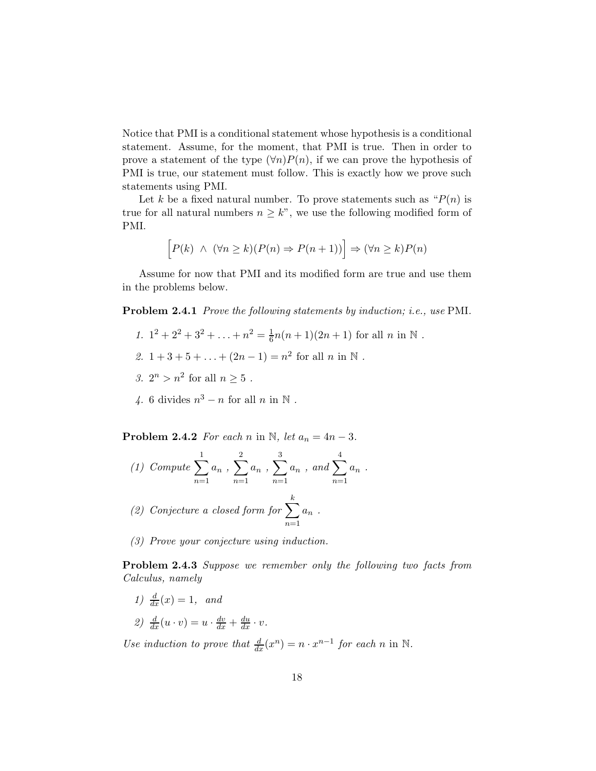Notice that PMI is a conditional statement whose hypothesis is a conditional statement. Assume, for the moment, that PMI is true. Then in order to prove a statement of the type  $(\forall n)P(n)$ , if we can prove the hypothesis of PMI is true, our statement must follow. This is exactly how we prove such statements using PMI.

Let k be a fixed natural number. To prove statements such as " $P(n)$  is true for all natural numbers  $n \geq k$ ", we use the following modified form of PMI.

$$
\[P(k) \ \land \ (\forall n \ge k)(P(n) \Rightarrow P(n+1))\] \Rightarrow (\forall n \ge k)P(n)
$$

Assume for now that PMI and its modified form are true and use them in the problems below.

Problem 2.4.1 Prove the following statements by induction; i.e., use PMI.

- 1.  $1^2 + 2^2 + 3^2 + \ldots + n^2 = \frac{1}{6}n(n+1)(2n+1)$  for all  $n \text{ in } \mathbb{N}$ .
- 2.  $1+3+5+\ldots+(2n-1)=n^2$  for all n in N.
- 3.  $2^n > n^2$  for all  $n \ge 5$ .
- 4. 6 divides  $n^3 n$  for all n in N.

**Problem 2.4.2** For each n in N, let  $a_n = 4n - 3$ .

- (1) Compute  $\sum$ 1  $n=1$  $a_n$  ,  $\sum$ 2  $n=1$  $a_n$  ,  $\sum$ 3  $n=1$  $a_n$  , and  $\sum$ 4  $n=1$  $a_n$ . (2) Conjecture a closed form for  $\sum$ k  $n=1$  $a_n$ .
- (3) Prove your conjecture using induction.

**Problem 2.4.3** Suppose we remember only the following two facts from Calculus, namely

1)  $\frac{d}{dx}(x) = 1$ , and

$$
2) \frac{d}{dx}(u \cdot v) = u \cdot \frac{dv}{dx} + \frac{du}{dx} \cdot v.
$$

Use induction to prove that  $\frac{d}{dx}(x^n) = n \cdot x^{n-1}$  for each n in N.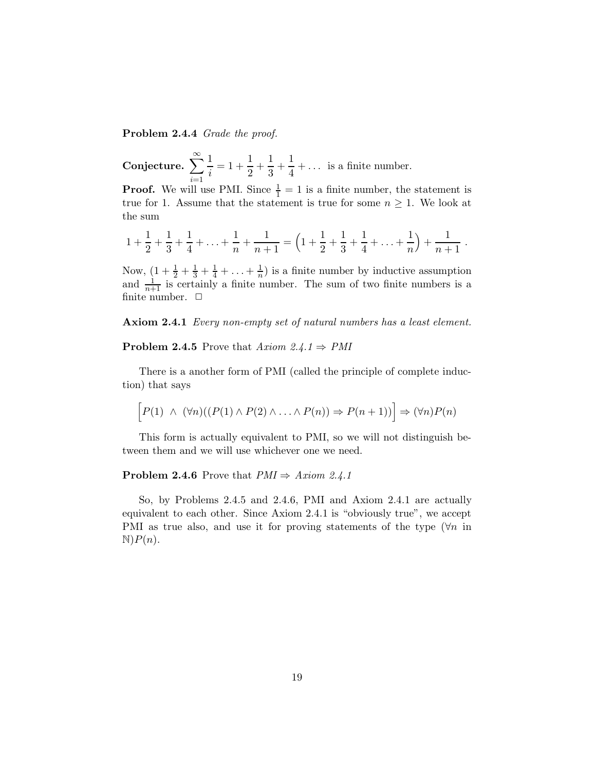Problem 2.4.4 Grade the proof.

Conjecture.  $\sum_{n=0}^{\infty}$  $i=1$ 1  $\frac{1}{i} = 1 + \frac{1}{2}$  $\frac{1}{2} + \frac{1}{3}$  $\frac{1}{3} + \frac{1}{4}$  $\frac{1}{4} + \dots$  is a finite number.

**Proof.** We will use PMI. Since  $\frac{1}{1} = 1$  is a finite number, the statement is true for 1. Assume that the statement is true for some  $n \geq 1$ . We look at the sum

$$
1 + \frac{1}{2} + \frac{1}{3} + \frac{1}{4} + \ldots + \frac{1}{n} + \frac{1}{n+1} = \left(1 + \frac{1}{2} + \frac{1}{3} + \frac{1}{4} + \ldots + \frac{1}{n}\right) + \frac{1}{n+1}.
$$

Now,  $\left(1+\frac{1}{2}+\frac{1}{3}+\frac{1}{4}+\ldots+\frac{1}{n}\right)$  $\frac{1}{n}$ ) is a finite number by inductive assumption and  $\frac{1}{n+1}$  is certainly a finite number. The sum of two finite numbers is a finite number.  $\Box$ 

Axiom 2.4.1 Every non-empty set of natural numbers has a least element.

#### **Problem 2.4.5** Prove that  $Axiom 2.4.1 \Rightarrow PMI$

There is a another form of PMI (called the principle of complete induction) that says

$$
\big[P(1) \ \land \ (\forall n)((P(1) \land P(2) \land \ldots \land P(n)) \Rightarrow P(n+1))\big] \Rightarrow (\forall n)P(n)
$$

This form is actually equivalent to PMI, so we will not distinguish between them and we will use whichever one we need.

#### **Problem 2.4.6** Prove that  $PMI \Rightarrow Axiom 2.4.1$

So, by Problems 2.4.5 and 2.4.6, PMI and Axiom 2.4.1 are actually equivalent to each other. Since Axiom 2.4.1 is "obviously true", we accept PMI as true also, and use it for proving statements of the type  $(\forall n$  in  $\mathbb{N}$ ) $P(n)$ .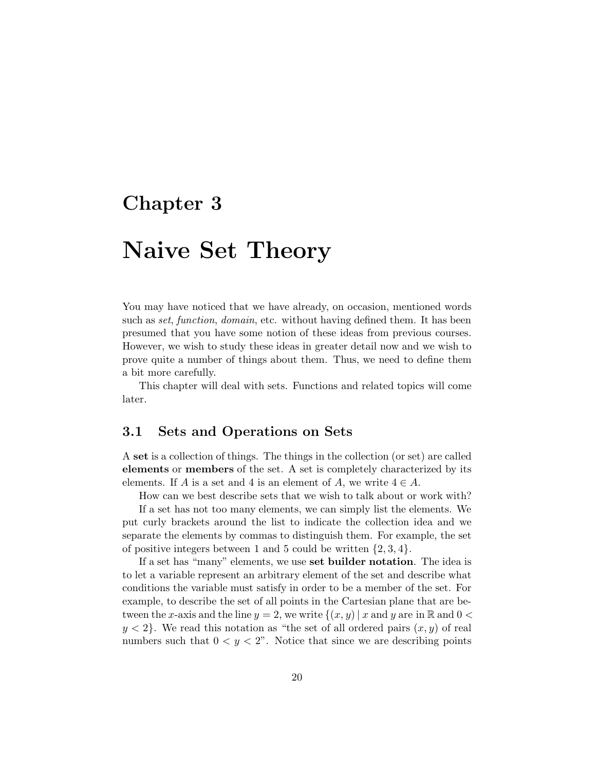### Chapter 3

# Naive Set Theory

You may have noticed that we have already, on occasion, mentioned words such as *set, function, domain*, etc. without having defined them. It has been presumed that you have some notion of these ideas from previous courses. However, we wish to study these ideas in greater detail now and we wish to prove quite a number of things about them. Thus, we need to define them a bit more carefully.

This chapter will deal with sets. Functions and related topics will come later.

### 3.1 Sets and Operations on Sets

A set is a collection of things. The things in the collection (or set) are called elements or members of the set. A set is completely characterized by its elements. If A is a set and 4 is an element of A, we write  $4 \in A$ .

How can we best describe sets that we wish to talk about or work with?

If a set has not too many elements, we can simply list the elements. We put curly brackets around the list to indicate the collection idea and we separate the elements by commas to distinguish them. For example, the set of positive integers between 1 and 5 could be written  $\{2, 3, 4\}$ .

If a set has "many" elements, we use set builder notation. The idea is to let a variable represent an arbitrary element of the set and describe what conditions the variable must satisfy in order to be a member of the set. For example, to describe the set of all points in the Cartesian plane that are between the x-axis and the line  $y = 2$ , we write  $\{(x, y) | x \text{ and } y \text{ are in } \mathbb{R} \text{ and } 0 \leq \theta\}$  $y < 2$ . We read this notation as "the set of all ordered pairs  $(x, y)$  of real numbers such that  $0 < y < 2$ ". Notice that since we are describing points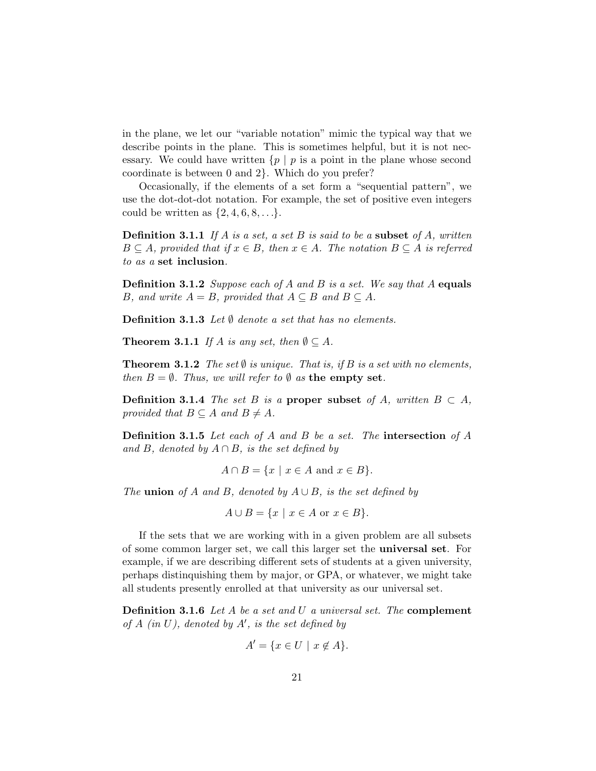in the plane, we let our "variable notation" mimic the typical way that we describe points in the plane. This is sometimes helpful, but it is not necessary. We could have written  $\{p \mid p$  is a point in the plane whose second coordinate is between 0 and 2}. Which do you prefer?

Occasionally, if the elements of a set form a "sequential pattern", we use the dot-dot-dot notation. For example, the set of positive even integers could be written as  $\{2, 4, 6, 8, \ldots\}.$ 

**Definition 3.1.1** If A is a set, a set B is said to be a subset of A, written  $B \subseteq A$ , provided that if  $x \in B$ , then  $x \in A$ . The notation  $B \subseteq A$  is referred to as a set inclusion.

**Definition 3.1.2** Suppose each of A and B is a set. We say that A equals B, and write  $A = B$ , provided that  $A \subseteq B$  and  $B \subseteq A$ .

**Definition 3.1.3** Let  $\emptyset$  denote a set that has no elements.

**Theorem 3.1.1** If A is any set, then  $\emptyset \subseteq A$ .

**Theorem 3.1.2** The set  $\emptyset$  is unique. That is, if B is a set with no elements, then  $B = \emptyset$ . Thus, we will refer to  $\emptyset$  as the empty set.

**Definition 3.1.4** The set B is a **proper subset** of A, written  $B \subset A$ , provided that  $B \subseteq A$  and  $B \neq A$ .

Definition 3.1.5 Let each of A and B be a set. The intersection of A and B, denoted by  $A \cap B$ , is the set defined by

$$
A \cap B = \{x \mid x \in A \text{ and } x \in B\}.
$$

The **union** of A and B, denoted by  $A \cup B$ , is the set defined by

$$
A \cup B = \{x \mid x \in A \text{ or } x \in B\}.
$$

If the sets that we are working with in a given problem are all subsets of some common larger set, we call this larger set the universal set. For example, if we are describing different sets of students at a given university, perhaps distinquishing them by major, or GPA, or whatever, we might take all students presently enrolled at that university as our universal set.

Definition 3.1.6 Let A be a set and U a universal set. The complement of  $A$  (in  $U$ ), denoted by  $A'$ , is the set defined by

$$
A' = \{ x \in U \mid x \notin A \}.
$$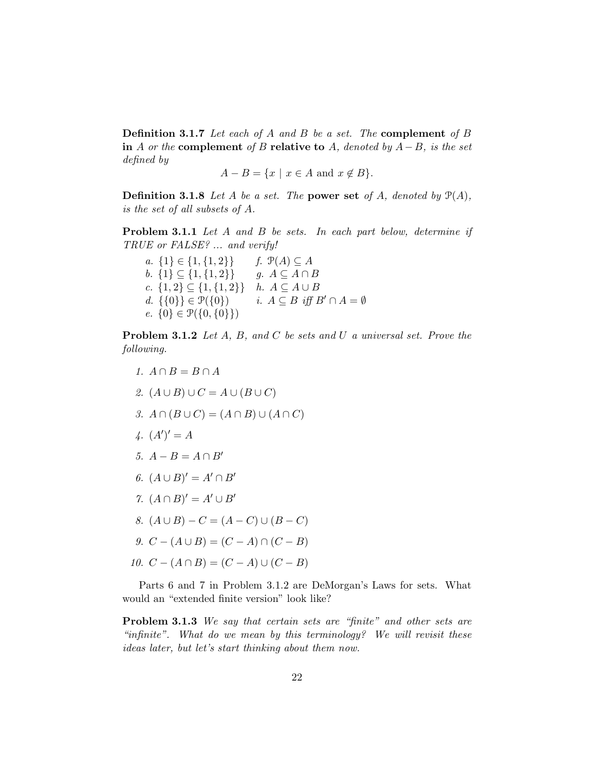**Definition 3.1.7** Let each of A and B be a set. The **complement** of B in A or the complement of B relative to A, denoted by  $A-B$ , is the set defined by

$$
A - B = \{ x \mid x \in A \text{ and } x \notin B \}.
$$

**Definition 3.1.8** Let A be a set. The power set of A, denoted by  $\mathcal{P}(A)$ , is the set of all subsets of A.

Problem 3.1.1 Let A and B be sets. In each part below, determine if TRUE or FALSE? ... and verify!

a. {1}  $\in$  {1, {1, 2}} f.  $\mathcal{P}(A) \subseteq A$ <br>b. {1}  $\subseteq$  {1, {1, 2}} g.  $A \subseteq A \cap B$ b.  $\{1\} \subseteq \{1, \{1, 2\}\}\.$ c.  $\{1,2\} \subseteq \{1,\{1,2\}\}$  h.  $A \subseteq A \cup B$ <br>d.  $\{\{0\}\} \in \mathcal{P}(\{0\})$  i.  $A \subseteq B$  iff I i.  $A \subseteq B$  iff  $B' \cap A = \emptyset$ e.  $\{0\} \in \mathcal{P}(\{0,\{0\}\})$ 

Problem 3.1.2 Let A, B, and C be sets and U a universal set. Prove the following.

- 1.  $A \cap B = B \cap A$
- 2.  $(A \cup B) \cup C = A \cup (B \cup C)$
- 3.  $A \cap (B \cup C) = (A \cap B) \cup (A \cap C)$
- $\frac{1}{4}$ .  $(A')' = A$
- 5.  $A B = A \cap B'$
- 6.  $(A \cup B)' = A' \cap B'$
- 7.  $(A \cap B)' = A' \cup B'$
- 8.  $(A \cup B) C = (A C) \cup (B C)$
- 9.  $C (A \cup B) = (C A) \cap (C B)$
- 10.  $C (A \cap B) = (C A) \cup (C B)$

Parts 6 and 7 in Problem 3.1.2 are DeMorgan's Laws for sets. What would an "extended finite version" look like?

Problem 3.1.3 We say that certain sets are "finite" and other sets are "infinite". What do we mean by this terminology? We will revisit these ideas later, but let's start thinking about them now.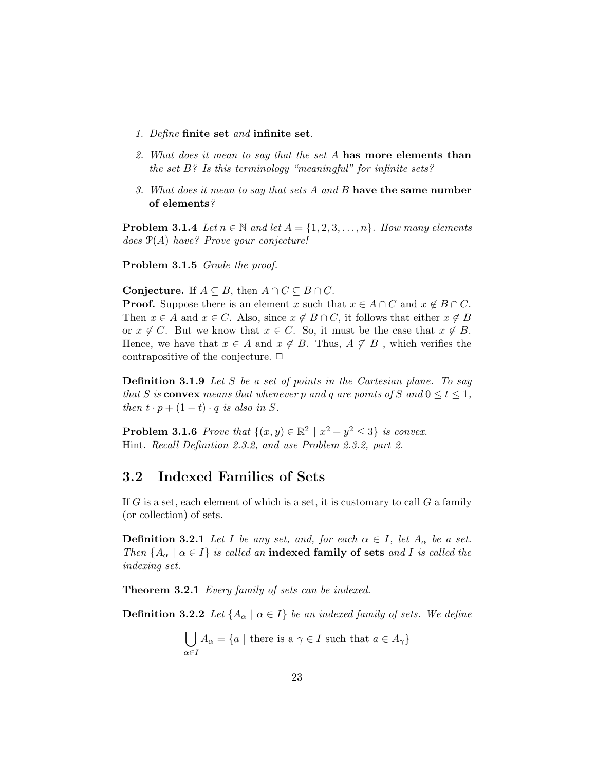- 1. Define finite set and infinite set.
- 2. What does it mean to say that the set A has more elements than the set  $B$ ? Is this terminology "meaningful" for infinite sets?
- 3. What does it mean to say that sets A and B have the same number of elements?

**Problem 3.1.4** Let  $n \in \mathbb{N}$  and let  $A = \{1, 2, 3, ..., n\}$ . How many elements does  $\mathcal{P}(A)$  have? Prove your conjecture!

Problem 3.1.5 Grade the proof.

Conjecture. If  $A \subseteq B$ , then  $A \cap C \subseteq B \cap C$ .

**Proof.** Suppose there is an element x such that  $x \in A \cap C$  and  $x \notin B \cap C$ . Then  $x \in A$  and  $x \in C$ . Also, since  $x \notin B \cap C$ , it follows that either  $x \notin B$ or  $x \notin C$ . But we know that  $x \in C$ . So, it must be the case that  $x \notin B$ . Hence, we have that  $x \in A$  and  $x \notin B$ . Thus,  $A \nsubseteq B$ , which verifies the contrapositive of the conjecture.  $\Box$ 

Definition 3.1.9 Let S be a set of points in the Cartesian plane. To say that S is convex means that whenever p and q are points of S and  $0 \le t \le 1$ , then  $t \cdot p + (1 - t) \cdot q$  is also in S.

**Problem 3.1.6** Prove that  $\{(x, y) \in \mathbb{R}^2 \mid x^2 + y^2 \le 3\}$  is convex. Hint. Recall Definition 2.3.2, and use Problem 2.3.2, part 2.

### 3.2 Indexed Families of Sets

If  $G$  is a set, each element of which is a set, it is customary to call  $G$  a family (or collection) of sets.

**Definition 3.2.1** Let I be any set, and, for each  $\alpha \in I$ , let  $A_{\alpha}$  be a set. Then  ${A_{\alpha} \mid \alpha \in I}$  is called an indexed family of sets and I is called the indexing set.

Theorem 3.2.1 Every family of sets can be indexed.

**Definition 3.2.2** Let  $\{A_{\alpha} \mid \alpha \in I\}$  be an indexed family of sets. We define

$$
\bigcup_{\alpha \in I} A_{\alpha} = \{a \mid \text{there is a } \gamma \in I \text{ such that } a \in A_{\gamma}\}\
$$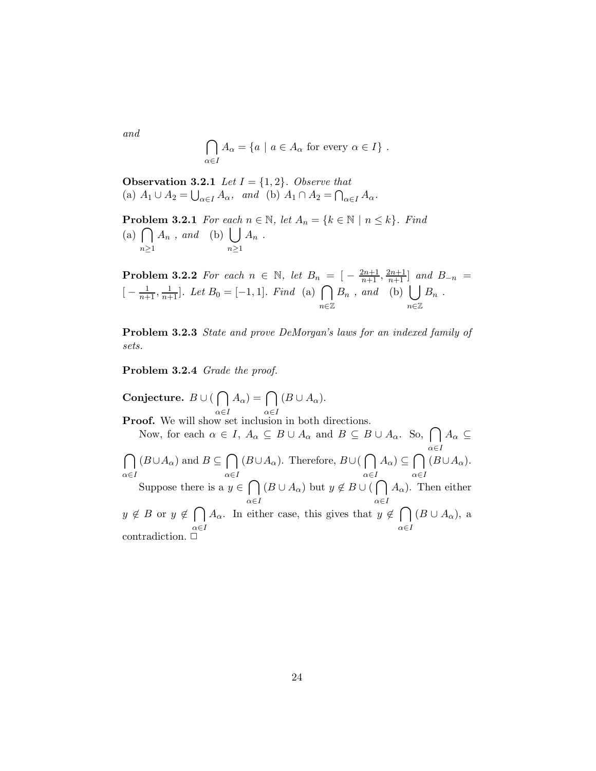$$
\bigcap_{\alpha \in I} A_\alpha = \{ a \mid a \in A_\alpha \text{ for every } \alpha \in I \} .
$$

**Observation 3.2.1** Let  $I = \{1, 2\}$ . Observe that (a)  $A_1 \cup A_2 = \bigcup_{\alpha \in I} A_\alpha$ , and (b)  $A_1 \cap A_2 = \bigcap_{\alpha \in I} A_\alpha$ .

**Problem 3.2.1** For each  $n \in \mathbb{N}$ , let  $A_n = \{k \in \mathbb{N} \mid n \leq k\}$ . Find  $(a) \bigcap$  $n \geq 1$  $A_n$ , and (b)  $\bigcup$  $n \geq 1$  $A_n$ .

**Problem 3.2.2** For each  $n \in \mathbb{N}$ , let  $B_n = \left[ -\frac{2n+1}{n+1}, \frac{2n+1}{n+1} \right]$  and  $B_{-n}$  $[-\frac{1}{n+1}, \frac{1}{n+1}]$ . Let  $B_0 = [-1, 1]$ . Find (a)  $\bigcap$ n∈Z  $B_n$ , and (b)  $\bigcup$ n∈Z  $B_n$ .

Problem 3.2.3 State and prove DeMorgan's laws for an indexed family of sets.

Problem 3.2.4 Grade the proof.

Conjecture.  $B \cup (\bigcap A_{\alpha}) = \bigcap (B \cup A_{\alpha}).$ **Proof.** We will show set inclusion in both directions. Now, for each  $\alpha \in I$ ,  $A_{\alpha} \subseteq B \cup A_{\alpha}$  and  $B \subseteq B \cup A_{\alpha}$ . So,  $\bigcap A_{\alpha} \subseteq$  $\alpha \in I$  $\cap$  $\alpha \in I$  $(B\cup A_\alpha)$  and  $B\subseteq \bigcap$  $\alpha \in I$  $(B\cup A_\alpha)$ . Therefore,  $B\cup (\bigcap$  $\alpha \in I$  $A_\alpha$ )  $\subseteq \bigcap$  $\alpha \in I$  $(B\cup A_{\alpha}).$ Suppose there is a  $y \in \bigcap$  $\alpha \in I$  $(B\cup A_\alpha)$  but  $y \notin B\cup\widehat{\bigcap}$  $\alpha \in I$  $A_{\alpha}$ ). Then either  $y \notin B$  or  $y \notin \bigcap A_{\alpha}$ . In either case, this gives that  $y \notin \bigcap (B \cup A_{\alpha})$ , a  $\alpha \in I$  $\alpha \in I$ contradiction.  $\Box$ 

and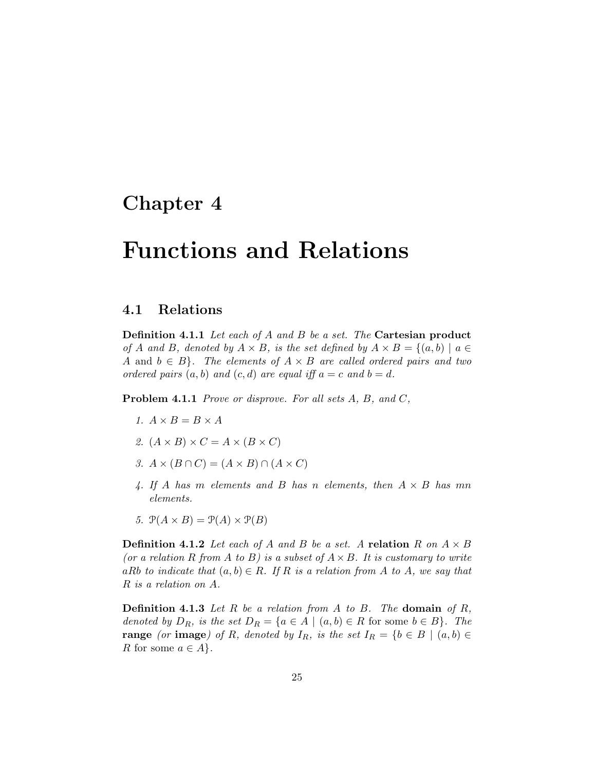### Chapter 4

## Functions and Relations

### 4.1 Relations

Definition 4.1.1 Let each of A and B be a set. The Cartesian product of A and B, denoted by  $A \times B$ , is the set defined by  $A \times B = \{(a, b) \mid a \in$ A and  $b \in B$ . The elements of  $A \times B$  are called ordered pairs and two ordered pairs  $(a, b)$  and  $(c, d)$  are equal iff  $a = c$  and  $b = d$ .

Problem 4.1.1 *Prove or disprove. For all sets A, B, and C,* 

- 1.  $A \times B = B \times A$
- 2.  $(A \times B) \times C = A \times (B \times C)$
- 3.  $A \times (B \cap C) = (A \times B) \cap (A \times C)$
- 4. If A has m elements and B has n elements, then  $A \times B$  has mn elements.
- 5.  $\mathcal{P}(A \times B) = \mathcal{P}(A) \times \mathcal{P}(B)$

**Definition 4.1.2** Let each of A and B be a set. A relation R on  $A \times B$ (or a relation R from A to B) is a subset of  $A \times B$ . It is customary to write aRb to indicate that  $(a, b) \in R$ . If R is a relation from A to A, we say that R is a relation on A.

**Definition 4.1.3** Let R be a relation from A to B. The **domain** of R, denoted by  $D_R$ , is the set  $D_R = \{a \in A \mid (a, b) \in R \text{ for some } b \in B\}$ . The **range** (or **image**) of R, denoted by  $I_R$ , is the set  $I_R = \{b \in B \mid (a, b) \in$ R for some  $a \in A$ .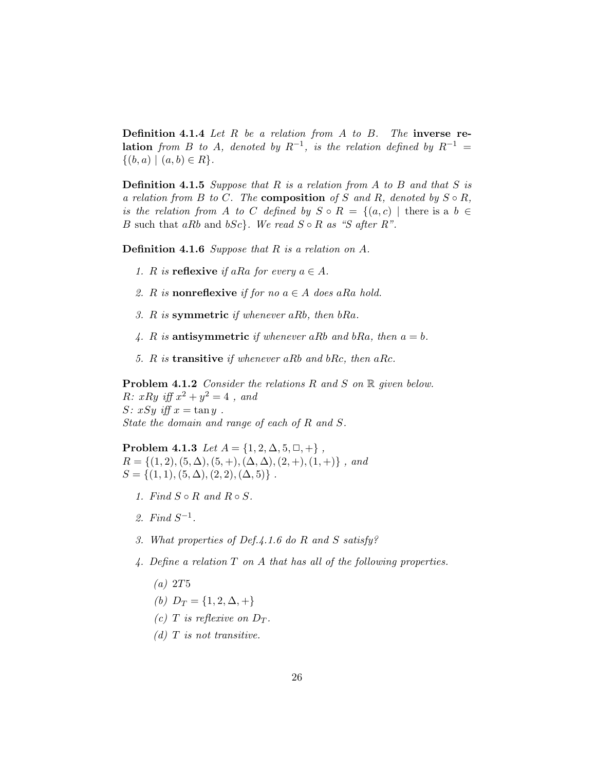**Definition 4.1.4** Let  $R$  be a relation from  $A$  to  $B$ . The inverse re**lation** from B to A, denoted by  $R^{-1}$ , is the relation defined by  $R^{-1}$  =  $\{(b, a) \mid (a, b) \in R\}.$ 

**Definition 4.1.5** Suppose that R is a relation from A to B and that S is a relation from B to C. The **composition** of S and R, denoted by  $S \circ R$ , is the relation from A to C defined by  $S \circ R = \{(a, c) \mid \text{there is a } b \in$ B such that aRb and bSc}. We read  $S \circ R$  as "S after R".

Definition 4.1.6 Suppose that R is a relation on A.

- 1. R is **reflexive** if a Ra for every  $a \in A$ .
- 2. R is nonreflexive if for no  $a \in A$  does aRa hold.
- 3. R is symmetric if whenever aRb, then  $bRa$ .
- 4. R is antisymmetric if whenever aRb and bRa, then  $a = b$ .
- 5. R is transitive if whenever aRb and bRc, then aRc.

**Problem 4.1.2** Consider the relations R and S on R given below.  $R: xRy \text{ iff } x^2 + y^2 = 4$ , and S:  $xSy$  iff  $x = \tan y$ . State the domain and range of each of R and S.

Problem 4.1.3 Let  $A = \{1, 2, \Delta, 5, \Box, +\}$ ,  $R = \{(1, 2), (5, \Delta), (5, +), (\Delta, \Delta), (2, +), (1, +)\}\;$ , and  $S = \{(1, 1), (5, \Delta), (2, 2), (\Delta, 5)\}\.$ 

- 1. Find  $S \circ R$  and  $R \circ S$ .
- 2. Find  $S^{-1}$ .
- 3. What properties of Def.4.1.6 do R and S satisfy?
- 4. Define a relation  $T$  on  $A$  that has all of the following properties.
	- $(a)$  2T<sub>5</sub>
	- (b)  $D_T = \{1, 2, \Delta, +\}$
	- (c) T is reflexive on  $D_T$ .
	- (d)  $T$  is not transitive.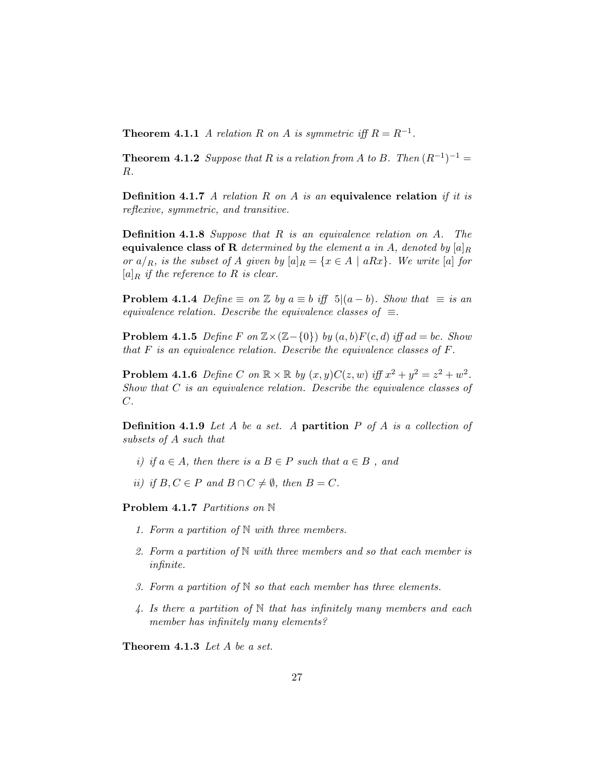**Theorem 4.1.1** A relation R on A is symmetric iff  $R = R^{-1}$ .

**Theorem 4.1.2** Suppose that R is a relation from A to B. Then  $(R^{-1})^{-1} =$ R.

**Definition 4.1.7** A relation R on A is an equivalence relation if it is reflexive, symmetric, and transitive.

Definition 4.1.8 Suppose that R is an equivalence relation on A. The equivalence class of R determined by the element a in A, denoted by  $[a]_R$ or  $a/R$ , is the subset of A given by  $[a]_R = \{x \in A \mid aRx\}$ . We write  $[a]$  for  $[a]_R$  if the reference to R is clear.

**Problem 4.1.4** Define  $\equiv$  on  $\mathbb{Z}$  by  $a \equiv b$  iff  $5|(a - b)$ . Show that  $\equiv$  is an equivalence relation. Describe the equivalence classes of  $\equiv$ .

**Problem 4.1.5** Define F on  $\mathbb{Z}\times(\mathbb{Z}-\{0\})$  by  $(a, b)F(c, d)$  iff ad = bc. Show that  $F$  is an equivalence relation. Describe the equivalence classes of  $F$ .

**Problem 4.1.6** Define C on  $\mathbb{R} \times \mathbb{R}$  by  $(x, y)C(z, w)$  iff  $x^2 + y^2 = z^2 + w^2$ . Show that C is an equivalence relation. Describe the equivalence classes of C.

**Definition 4.1.9** Let A be a set. A **partition** P of A is a collection of subsets of A such that

- i) if  $a \in A$ , then there is  $a B \in P$  such that  $a \in B$ , and
- ii) if  $B, C \in P$  and  $B \cap C \neq \emptyset$ , then  $B = C$ .

Problem 4.1.7 Partitions on N

- 1. Form a partition of  $\mathbb N$  with three members.
- 2. Form a partition of  $\mathbb N$  with three members and so that each member is infinite.
- 3. Form a partition of  $\mathbb N$  so that each member has three elements.
- 4. Is there a partition of  $\mathbb N$  that has infinitely many members and each member has infinitely many elements?

Theorem 4.1.3 Let A be a set.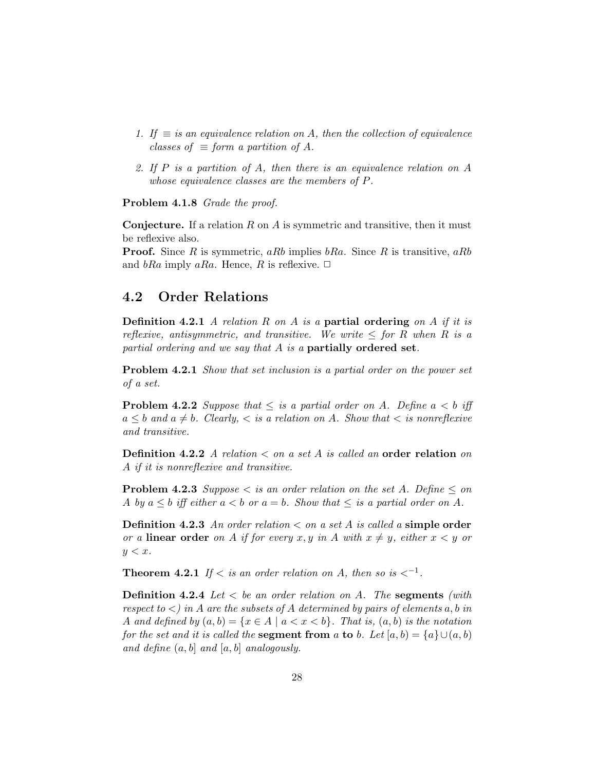- 1. If  $\equiv$  is an equivalence relation on A, then the collection of equivalence classes of  $\equiv$  form a partition of A.
- 2. If P is a partition of A, then there is an equivalence relation on A whose equivalence classes are the members of P.

Problem 4.1.8 Grade the proof.

**Conjecture.** If a relation  $R$  on  $\tilde{A}$  is symmetric and transitive, then it must be reflexive also.

**Proof.** Since R is symmetric, aRb implies  $bRa$ . Since R is transitive, aRb and bRa imply aRa. Hence, R is reflexive.  $\Box$ 

### 4.2 Order Relations

**Definition 4.2.1** A relation R on A is a **partial ordering** on A if it is reflexive, antisymmetric, and transitive. We write  $\leq$  for R when R is a partial ordering and we say that A is a partially ordered set.

Problem 4.2.1 Show that set inclusion is a partial order on the power set of a set.

**Problem 4.2.2** Suppose that  $\leq$  is a partial order on A. Define  $a < b$  iff  $a \leq b$  and  $a \neq b$ . Clearly,  $\lt$  is a relation on A. Show that  $\lt$  is nonreflexive and transitive.

**Definition 4.2.2** A relation  $\lt$  on a set A is called an order relation on A if it is nonreflexive and transitive.

**Problem 4.2.3** Suppose  $\lt$  is an order relation on the set A. Define  $\leq$  on A by  $a \leq b$  iff either  $a < b$  or  $a = b$ . Show that  $\leq$  is a partial order on A.

**Definition 4.2.3** An order relation  $\lt$  on a set A is called a simple order or a linear order on A if for every x, y in A with  $x \neq y$ , either  $x < y$  or  $y < x$ .

**Theorem 4.2.1** If  $\lt$  is an order relation on A, then so is  $\lt^{-1}$ .

**Definition 4.2.4** Let  $\lt$  be an order relation on A. The segments (with respect to  $\langle \rangle$  in A are the subsets of A determined by pairs of elements a, b in A and defined by  $(a, b) = \{x \in A \mid a < x < b\}$ . That is,  $(a, b)$  is the notation for the set and it is called the **segment from** a to b. Let  $[a, b) = \{a\} \cup (a, b)$ and define  $(a, b]$  and  $[a, b]$  analogously.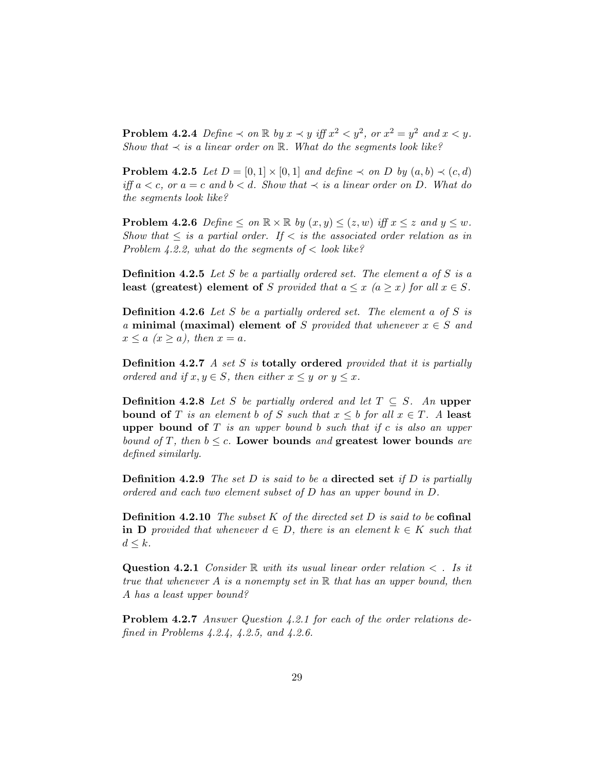**Problem 4.2.4** Define  $\prec$  on  $\mathbb R$  by  $x \prec y$  iff  $x^2 < y^2$ , or  $x^2 = y^2$  and  $x < y$ . Show that  $\prec$  is a linear order on  $\mathbb R$ . What do the segments look like?

**Problem 4.2.5** Let  $D = [0, 1] \times [0, 1]$  and define  $\prec$  on D by  $(a, b) \prec (c, d)$ iff  $a < c$ , or  $a = c$  and  $b < d$ . Show that  $\prec$  is a linear order on D. What do the segments look like?

**Problem 4.2.6** Define  $\leq$  on  $\mathbb{R} \times \mathbb{R}$  by  $(x, y) \leq (z, w)$  iff  $x \leq z$  and  $y \leq w$ . Show that  $\leq$  is a partial order. If  $\lt$  is the associated order relation as in Problem 4.2.2, what do the segments of  $\lt$  look like?

**Definition 4.2.5** Let S be a partially ordered set. The element a of S is a least (greatest) element of S provided that  $a \leq x \ (a \geq x)$  for all  $x \in S$ .

**Definition 4.2.6** Let S be a partially ordered set. The element a of S is a minimal (maximal) element of S provided that whenever  $x \in S$  and  $x \le a$   $(x > a)$ , then  $x = a$ .

**Definition 4.2.7** A set  $S$  is **totally ordered** provided that it is partially ordered and if  $x, y \in S$ , then either  $x \leq y$  or  $y \leq x$ .

**Definition 4.2.8** Let S be partially ordered and let  $T \subseteq S$ . An upper bound of T is an element b of S such that  $x \leq b$  for all  $x \in T$ . A least upper bound of  $T$  is an upper bound b such that if c is also an upper bound of T, then  $b \leq c$ . Lower bounds and greatest lower bounds are defined similarly.

**Definition 4.2.9** The set D is said to be a directed set if D is partially ordered and each two element subset of D has an upper bound in D.

**Definition 4.2.10** The subset K of the directed set D is said to be **cofinal** in D provided that whenever  $d \in D$ , there is an element  $k \in K$  such that  $d \leq k$ .

**Question 4.2.1** Consider R with its usual linear order relation  $\lt$ . Is it true that whenever A is a nonempty set in  $\mathbb R$  that has an upper bound, then A has a least upper bound?

Problem 4.2.7 Answer Question 4.2.1 for each of the order relations defined in Problems 4.2.4, 4.2.5, and 4.2.6.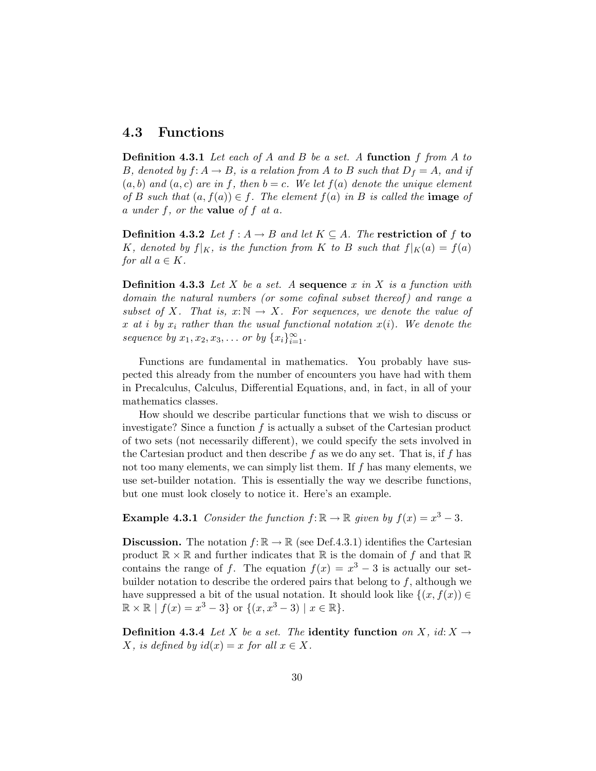### 4.3 Functions

**Definition 4.3.1** Let each of A and B be a set. A function f from A to B, denoted by  $f: A \to B$ , is a relation from A to B such that  $D_f = A$ , and if  $(a, b)$  and  $(a, c)$  are in f, then  $b = c$ . We let  $f(a)$  denote the unique element of B such that  $(a, f(a)) \in f$ . The element  $f(a)$  in B is called the **image** of a under f, or the **value** of f at a.

**Definition 4.3.2** Let  $f : A \rightarrow B$  and let  $K \subseteq A$ . The restriction of f to K, denoted by  $f|_K$ , is the function from K to B such that  $f|_K(a) = f(a)$ for all  $a \in K$ .

**Definition 4.3.3** Let X be a set. A sequence x in X is a function with domain the natural numbers (or some cofinal subset thereof) and range a subset of X. That is,  $x:\mathbb{N} \to X$ . For sequences, we denote the value of x at i by  $x_i$  rather than the usual functional notation  $x(i)$ . We denote the sequence by  $x_1, x_2, x_3, ...$  or by  $\{x_i\}_{i=1}^{\infty}$ .

Functions are fundamental in mathematics. You probably have suspected this already from the number of encounters you have had with them in Precalculus, Calculus, Differential Equations, and, in fact, in all of your mathematics classes.

How should we describe particular functions that we wish to discuss or investigate? Since a function  $f$  is actually a subset of the Cartesian product of two sets (not necessarily different), we could specify the sets involved in the Cartesian product and then describe f as we do any set. That is, if f has not too many elements, we can simply list them. If  $f$  has many elements, we use set-builder notation. This is essentially the way we describe functions, but one must look closely to notice it. Here's an example.

**Example 4.3.1** Consider the function  $f: \mathbb{R} \to \mathbb{R}$  given by  $f(x) = x^3 - 3$ .

**Discussion.** The notation  $f: \mathbb{R} \to \mathbb{R}$  (see Def.4.3.1) identifies the Cartesian product  $\mathbb{R} \times \mathbb{R}$  and further indicates that  $\mathbb{R}$  is the domain of f and that  $\mathbb{R}$ contains the range of f. The equation  $f(x) = x^3 - 3$  is actually our setbuilder notation to describe the ordered pairs that belong to  $f$ , although we have suppressed a bit of the usual notation. It should look like  $\{(x, f(x)) \in$  $\mathbb{R} \times \mathbb{R} \mid f(x) = x^3 - 3$  or  $\{(x, x^3 - 3) \mid x \in \mathbb{R}\}.$ 

**Definition 4.3.4** Let X be a set. The identity function on X, id:  $X \rightarrow$ X, is defined by  $id(x) = x$  for all  $x \in X$ .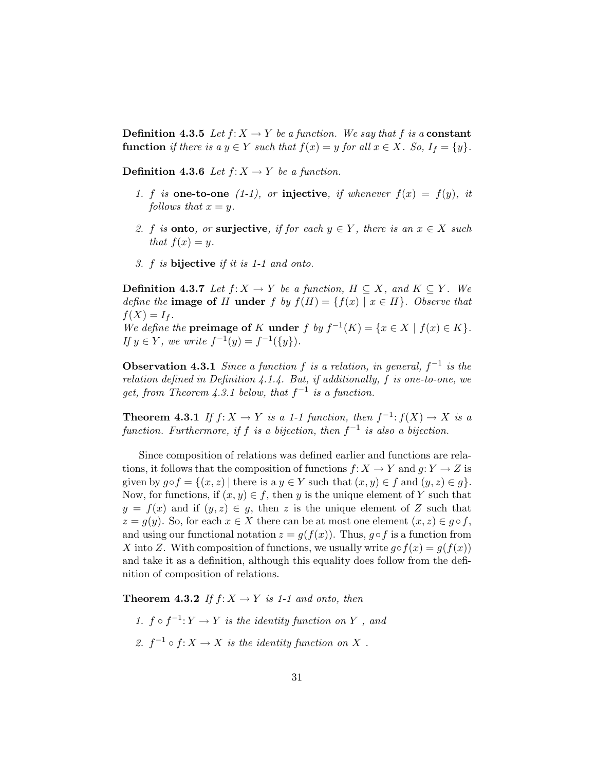**Definition 4.3.5** Let  $f: X \to Y$  be a function. We say that f is a **constant** function if there is a  $y \in Y$  such that  $f(x) = y$  for all  $x \in X$ . So,  $I_f = \{y\}$ .

**Definition 4.3.6** Let  $f: X \to Y$  be a function.

- 1. f is one-to-one (1-1), or injective, if whenever  $f(x) = f(y)$ , it follows that  $x = y$ .
- 2. f is **onto**, or **surjective**, if for each  $y \in Y$ , there is an  $x \in X$  such that  $f(x) = y$ .
- 3. f is bijective if it is 1-1 and onto.

**Definition 4.3.7** Let  $f: X \to Y$  be a function,  $H \subseteq X$ , and  $K \subseteq Y$ . We define the **image of** H under f by  $f(H) = \{f(x) | x \in H\}$ . Observe that  $f(X) = I_f$ .

We define the **preimage of** K **under**  $f$  by  $f^{-1}(K) = \{x \in X \mid f(x) \in K\}.$ If  $y \in Y$ , we write  $f^{-1}(y) = f^{-1}(\{y\}).$ 

**Observation 4.3.1** Since a function f is a relation, in general,  $f^{-1}$  is the relation defined in Definition 4.1.4. But, if additionally, f is one-to-one, we get, from Theorem 4.3.1 below, that  $f^{-1}$  is a function.

**Theorem 4.3.1** If  $f: X \to Y$  is a 1-1 function, then  $f^{-1}: f(X) \to X$  is a function. Furthermore, if f is a bijection, then  $f^{-1}$  is also a bijection.

Since composition of relations was defined earlier and functions are relations, it follows that the composition of functions  $f: X \to Y$  and  $g: Y \to Z$  is given by  $g \circ f = \{(x, z) \mid \text{there is a } y \in Y \text{ such that } (x, y) \in f \text{ and } (y, z) \in g \}.$ Now, for functions, if  $(x, y) \in f$ , then y is the unique element of Y such that  $y = f(x)$  and if  $(y, z) \in g$ , then z is the unique element of Z such that  $z = g(y)$ . So, for each  $x \in X$  there can be at most one element  $(x, z) \in g \circ f$ , and using our functional notation  $z = g(f(x))$ . Thus,  $g \circ f$  is a function from X into Z. With composition of functions, we usually write  $g \circ f(x) = g(f(x))$ and take it as a definition, although this equality does follow from the definition of composition of relations.

**Theorem 4.3.2** If  $f: X \to Y$  is 1-1 and onto, then

- 1.  $f \circ f^{-1}: Y \to Y$  is the identity function on Y, and
- 2.  $f^{-1} \circ f: X \to X$  is the identity function on X.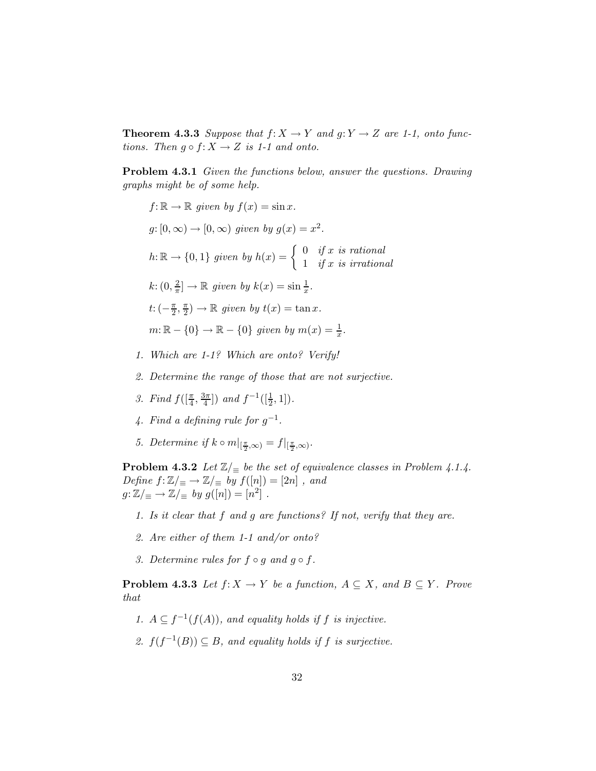**Theorem 4.3.3** Suppose that  $f: X \to Y$  and  $g: Y \to Z$  are 1-1, onto functions. Then  $g \circ f: X \to Z$  is 1-1 and onto.

Problem 4.3.1 Given the functions below, answer the questions. Drawing graphs might be of some help.

- $f: \mathbb{R} \to \mathbb{R}$  given by  $f(x) = \sin x$ .  $g: [0, \infty) \to [0, \infty)$  given by  $g(x) = x^2$ .  $h: \mathbb{R} \to \{0,1\}$  given by  $h(x) = \begin{cases} 0 & \text{if } x \text{ is rational} \\ 1 & \text{if } x \text{ is irrational} \end{cases}$ 1 if x is irrational  $k: (0, \frac{2}{\pi})$  $\frac{2}{\pi}$ ]  $\rightarrow \mathbb{R}$  given by  $k(x) = \sin \frac{1}{x}$ .  $t$ :  $\left(-\frac{\pi}{2}\right)$  $\frac{\pi}{2}, \frac{\pi}{2}$  $\frac{\pi}{2}) \to \mathbb{R}$  given by  $t(x) = \tan x$ .  $m: \mathbb{R} - \{0\} \to \mathbb{R} - \{0\}$  given by  $m(x) = \frac{1}{x}$ .
- 1. Which are 1-1? Which are onto? Verify!
- 2. Determine the range of those that are not surjective.
- 3. Find  $f([\frac{\pi}{4}, \frac{3\pi}{4})$  $\frac{3\pi}{4}]$ ) and  $f^{-1}([\frac{1}{2}, 1])$ .
- 4. Find a defining rule for  $g^{-1}$ .
- 5. Determine if  $k \circ m|_{\left[\frac{\pi}{2}, \infty\right)} = f|_{\left[\frac{\pi}{2}, \infty\right)}$ .

**Problem 4.3.2** Let  $\mathbb{Z}/_{\equiv}$  be the set of equivalence classes in Problem 4.1.4. Define  $f: \mathbb{Z}/_{\equiv} \to \mathbb{Z}/_{\equiv}$  by  $f([n]) = [2n]$ , and  $g: \mathbb{Z}/_{\equiv} \to \mathbb{Z}/_{\equiv} by g([n]) = [n^2] .$ 

- 1. Is it clear that f and g are functions? If not, verify that they are.
- 2. Are either of them 1-1 and/or onto?
- 3. Determine rules for  $f \circ q$  and  $q \circ f$ .

**Problem 4.3.3** Let  $f: X \to Y$  be a function,  $A \subseteq X$ , and  $B \subseteq Y$ . Prove that

- 1.  $A \subseteq f^{-1}(f(A))$ , and equality holds if f is injective.
- 2.  $f(f^{-1}(B)) \subseteq B$ , and equality holds if f is surjective.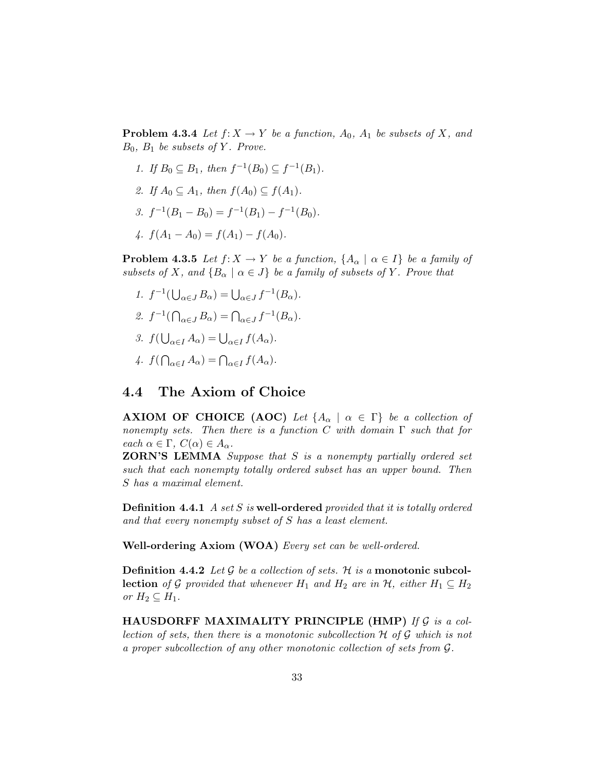**Problem 4.3.4** Let  $f: X \to Y$  be a function,  $A_0$ ,  $A_1$  be subsets of X, and  $B_0$ ,  $B_1$  be subsets of Y. Prove.

- 1. If  $B_0 \subseteq B_1$ , then  $f^{-1}(B_0) \subseteq f^{-1}(B_1)$ .
- 2. If  $A_0 \subseteq A_1$ , then  $f(A_0) \subseteq f(A_1)$ .
- 3.  $f^{-1}(B_1 B_0) = f^{-1}(B_1) f^{-1}(B_0)$ .
- 4.  $f(A_1 A_0) = f(A_1) f(A_0)$ .

**Problem 4.3.5** Let  $f: X \to Y$  be a function,  $\{A_{\alpha} \mid \alpha \in I\}$  be a family of subsets of X, and  $\{B_\alpha \mid \alpha \in J\}$  be a family of subsets of Y. Prove that

- 1.  $f^{-1}(\bigcup_{\alpha \in J} B_{\alpha}) = \bigcup_{\alpha \in J} f^{-1}(B_{\alpha}).$ 2.  $f^{-1}(\bigcap_{\alpha \in J} B_{\alpha}) = \bigcap_{\alpha \in J} f^{-1}(B_{\alpha}).$
- 3.  $f(\bigcup_{\alpha \in I} A_{\alpha}) = \bigcup_{\alpha \in I} f(A_{\alpha}).$
- 4.  $f(\bigcap_{\alpha\in I}A_{\alpha})=\bigcap_{\alpha\in I}f(A_{\alpha}).$

### 4.4 The Axiom of Choice

**AXIOM OF CHOICE (AOC)** Let  $\{A_{\alpha} \mid \alpha \in \Gamma\}$  be a collection of nonempty sets. Then there is a function C with domain  $\Gamma$  such that for each  $\alpha \in \Gamma$ ,  $C(\alpha) \in A_{\alpha}$ .

ZORN'S LEMMA Suppose that S is a nonempty partially ordered set such that each nonempty totally ordered subset has an upper bound. Then S has a maximal element.

**Definition 4.4.1** A set  $S$  is well-ordered provided that it is totally ordered and that every nonempty subset of S has a least element.

Well-ordering Axiom (WOA) Every set can be well-ordered.

**Definition 4.4.2** Let G be a collection of sets. H is a monotonic subcol**lection** of G provided that whenever  $H_1$  and  $H_2$  are in  $H_1$ , either  $H_1 \subseteq H_2$ or  $H_2 \subseteq H_1$ .

HAUSDORFF MAXIMALITY PRINCIPLE (HMP) If  $G$  is a collection of sets, then there is a monotonic subcollection  $H$  of  $G$  which is not a proper subcollection of any other monotonic collection of sets from G.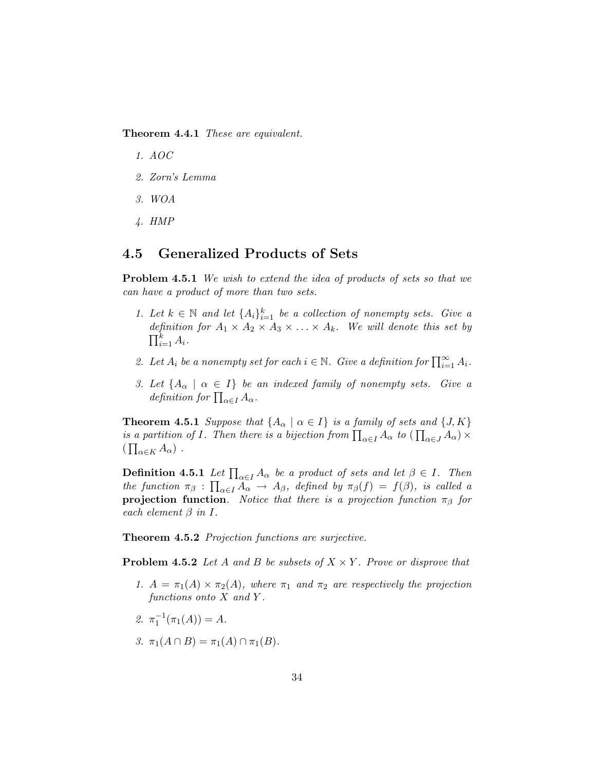Theorem 4.4.1 These are equivalent.

- 1. AOC
- 2. Zorn's Lemma
- 3. WOA
- 4. HMP

### 4.5 Generalized Products of Sets

Problem 4.5.1 We wish to extend the idea of products of sets so that we can have a product of more than two sets.

- 1. Let  $k \in \mathbb{N}$  and let  $\{A_i\}_{i=1}^k$  be a collection of nonempty sets. Give a definition for  $A_1 \times A_2 \times A_3 \times \ldots \times A_k$ . We will denote this set by  $\prod_{i=1}^k A_i$ .
- 2. Let  $A_i$  be a nonempty set for each  $i \in \mathbb{N}$ . Give a definition for  $\prod_{i=1}^{\infty} A_i$ .
- 3. Let  $\{A_\alpha \mid \alpha \in I\}$  be an indexed family of nonempty sets. Give a definition for  $\prod_{\alpha \in I} A_{\alpha}$ .

**Theorem 4.5.1** Suppose that  $\{A_{\alpha} \mid \alpha \in I\}$  is a family of sets and  $\{J, K\}$ is a partition of I. Then there is a bijection from  $\prod_{\alpha\in I} A_{\alpha}$  to  $(\prod_{\alpha\in J} A_{\alpha}) \times$  $\left(\prod_{\alpha\in K}A_{\alpha}\right)$ .

**Definition 4.5.1** Let  $\prod_{\alpha \in I} A_{\alpha}$  be a product of sets and let  $\beta \in I$ . Then the function  $\pi_{\beta}$  :  $\prod_{\alpha \in I} A_{\alpha} \to A_{\beta}$ , defined by  $\pi_{\beta}(f) = f(\beta)$ , is called a **projection function.** Notice that there is a projection function  $\pi_{\beta}$  for each element  $\beta$  in  $I$ .

Theorem 4.5.2 *Projection functions are surjective.* 

**Problem 4.5.2** Let A and B be subsets of  $X \times Y$ . Prove or disprove that

- 1.  $A = \pi_1(A) \times \pi_2(A)$ , where  $\pi_1$  and  $\pi_2$  are respectively the projection functions onto  $X$  and  $Y$ .
- 2.  $\pi_1^{-1}(\pi_1(A)) = A$ .
- 3.  $\pi_1(A \cap B) = \pi_1(A) \cap \pi_1(B)$ .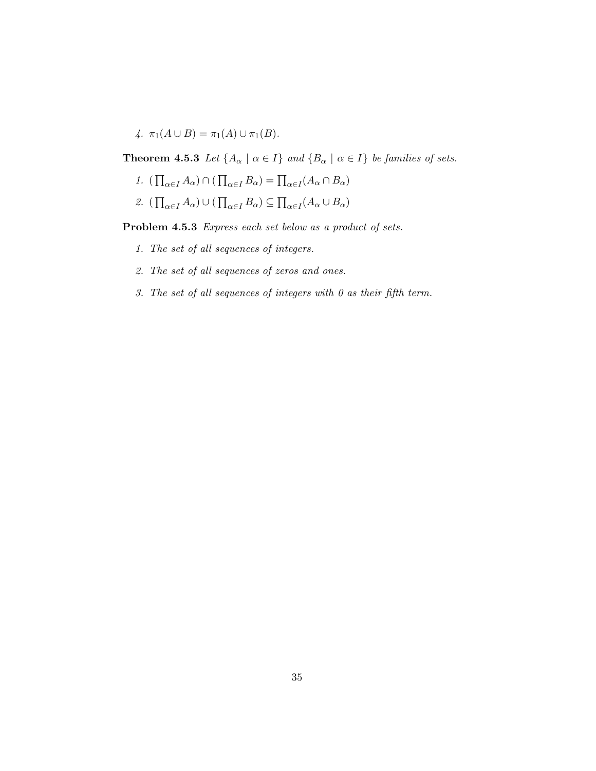4.  $\pi_1(A \cup B) = \pi_1(A) \cup \pi_1(B)$ .

**Theorem 4.5.3** Let  $\{A_{\alpha} \mid \alpha \in I\}$  and  $\{B_{\alpha} \mid \alpha \in I\}$  be families of sets.

- 1.  $\left(\prod_{\alpha \in I} A_{\alpha}\right) \cap \left(\prod_{\alpha \in I} B_{\alpha}\right) = \prod_{\alpha \in I} (A_{\alpha} \cap B_{\alpha})$
- 2.  $\left(\prod_{\alpha \in I} A_{\alpha}\right) \cup \left(\prod_{\alpha \in I} B_{\alpha}\right) \subseteq \prod_{\alpha \in I} (A_{\alpha} \cup B_{\alpha})$

Problem 4.5.3 Express each set below as a product of sets.

- 1. The set of all sequences of integers.
- 2. The set of all sequences of zeros and ones.
- 3. The set of all sequences of integers with 0 as their fifth term.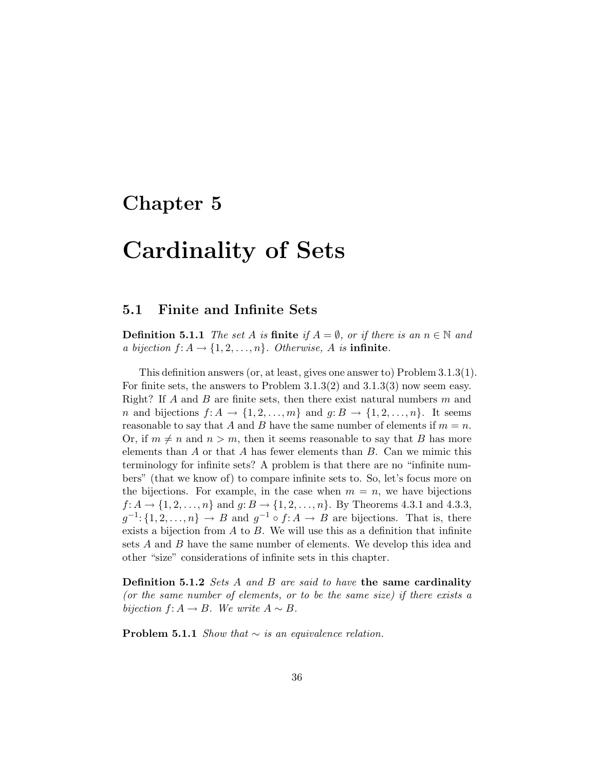### Chapter 5

## Cardinality of Sets

### 5.1 Finite and Infinite Sets

**Definition 5.1.1** The set A is **finite** if  $A = \emptyset$ , or if there is an  $n \in \mathbb{N}$  and a bijection  $f: A \rightarrow \{1, 2, ..., n\}$ . Otherwise, A is infinite.

This definition answers (or, at least, gives one answer to) Problem 3.1.3(1). For finite sets, the answers to Problem 3.1.3(2) and 3.1.3(3) now seem easy. Right? If A and B are finite sets, then there exist natural numbers  $m$  and *n* and bijections  $f: A \to \{1, 2, ..., m\}$  and  $g: B \to \{1, 2, ..., n\}$ . It seems reasonable to say that A and B have the same number of elements if  $m = n$ . Or, if  $m \neq n$  and  $n > m$ , then it seems reasonable to say that B has more elements than  $A$  or that  $A$  has fewer elements than  $B$ . Can we mimic this terminology for infinite sets? A problem is that there are no "infinite numbers" (that we know of) to compare infinite sets to. So, let's focus more on the bijections. For example, in the case when  $m = n$ , we have bijections  $f: A \to \{1, 2, \ldots, n\}$  and  $g: B \to \{1, 2, \ldots, n\}$ . By Theorems 4.3.1 and 4.3.3,  $g^{-1}$ : {1, 2, ..., n}  $\rightarrow$  B and  $g^{-1} \circ f: A \rightarrow B$  are bijections. That is, there exists a bijection from  $A$  to  $B$ . We will use this as a definition that infinite sets A and B have the same number of elements. We develop this idea and other "size" considerations of infinite sets in this chapter.

**Definition 5.1.2** Sets A and B are said to have the same cardinality (or the same number of elements, or to be the same size) if there exists a bijection  $f: A \to B$ . We write  $A \sim B$ .

Problem 5.1.1 Show that  $\sim$  is an equivalence relation.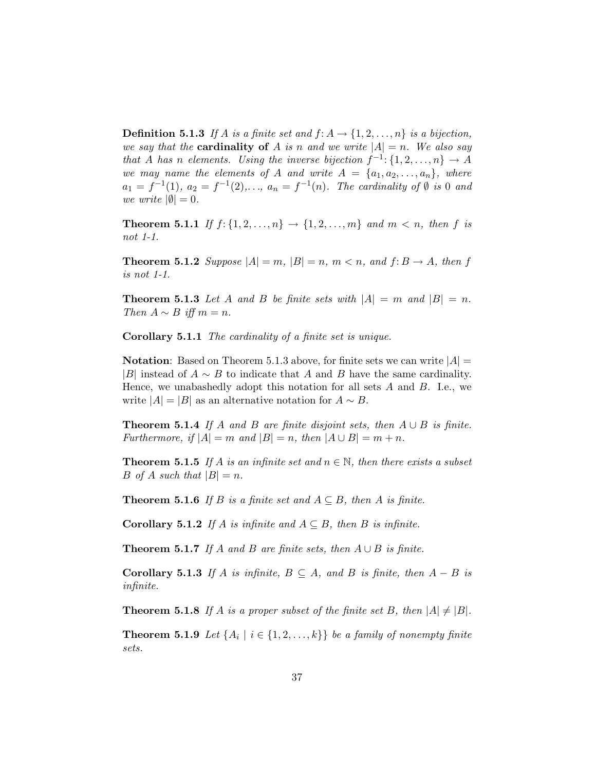**Definition 5.1.3** If A is a finite set and  $f: A \rightarrow \{1, 2, ..., n\}$  is a bijection, we say that the **cardinality of** A is n and we write  $|A| = n$ . We also say that A has n elements. Using the inverse bijection  $f^{-1}$ :  $\{1, 2, ..., n\} \rightarrow A$ we may name the elements of A and write  $A = \{a_1, a_2, \ldots, a_n\}$ , where  $a_1 = f^{-1}(1), a_2 = f^{-1}(2), \ldots, a_n = f^{-1}(n).$  The cardinality of  $\emptyset$  is 0 and we write  $|\emptyset|=0$ .

**Theorem 5.1.1** If  $f: \{1, 2, ..., n\} \to \{1, 2, ..., m\}$  and  $m < n$ , then f is not 1-1.

**Theorem 5.1.2** Suppose  $|A| = m$ ,  $|B| = n$ ,  $m < n$ , and  $f: B \to A$ , then f is not 1-1.

**Theorem 5.1.3** Let A and B be finite sets with  $|A| = m$  and  $|B| = n$ . Then  $A \sim B$  iff  $m = n$ .

Corollary 5.1.1 The cardinality of a finite set is unique.

**Notation:** Based on Theorem 5.1.3 above, for finite sets we can write  $|A|$ |B| instead of  $A \sim B$  to indicate that A and B have the same cardinality. Hence, we unabashedly adopt this notation for all sets  $A$  and  $B$ . I.e., we write  $|A| = |B|$  as an alternative notation for  $A \sim B$ .

**Theorem 5.1.4** If A and B are finite disjoint sets, then  $A \cup B$  is finite. Furthermore, if  $|A| = m$  and  $|B| = n$ , then  $|A \cup B| = m + n$ .

**Theorem 5.1.5** If A is an infinite set and  $n \in \mathbb{N}$ , then there exists a subset B of A such that  $|B| = n$ .

**Theorem 5.1.6** If B is a finite set and  $A \subseteq B$ , then A is finite.

**Corollary 5.1.2** If A is infinite and  $A \subseteq B$ , then B is infinite.

**Theorem 5.1.7** If A and B are finite sets, then  $A \cup B$  is finite.

Corollary 5.1.3 If A is infinite,  $B \subseteq A$ , and B is finite, then  $A - B$  is infinite.

**Theorem 5.1.8** If A is a proper subset of the finite set B, then  $|A| \neq |B|$ .

**Theorem 5.1.9** Let  $\{A_i \mid i \in \{1, 2, ..., k\}\}$  be a family of nonempty finite sets.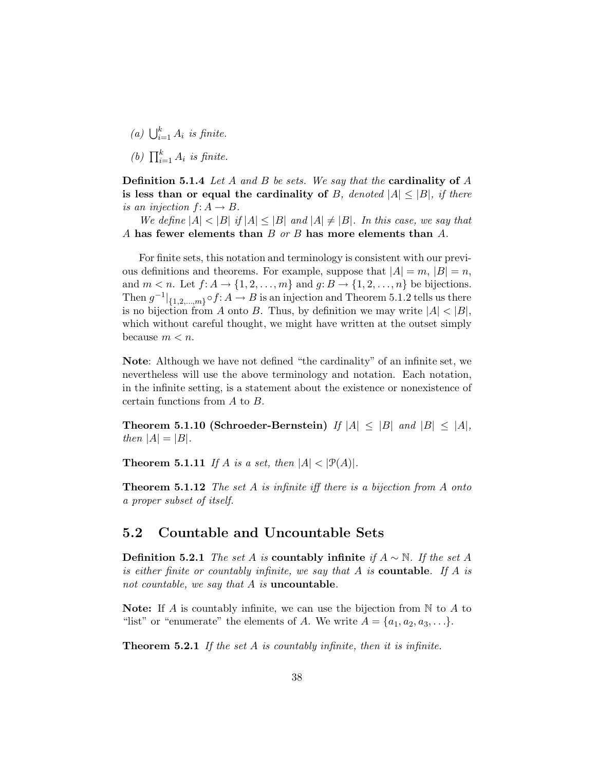- (a)  $\bigcup_{i=1}^k A_i$  is finite.
- (b)  $\prod_{i=1}^{k} A_i$  is finite.

**Definition 5.1.4** Let A and B be sets. We say that the **cardinality of** A is less than or equal the cardinality of B, denoted  $|A| \leq |B|$ , if there is an injection  $f: A \rightarrow B$ .

We define  $|A| < |B|$  if  $|A| \leq |B|$  and  $|A| \neq |B|$ . In this case, we say that A has fewer elements than  $B$  or  $B$  has more elements than  $A$ .

For finite sets, this notation and terminology is consistent with our previous definitions and theorems. For example, suppose that  $|A| = m$ ,  $|B| = n$ , and  $m < n$ . Let  $f: A \rightarrow \{1, 2, ..., m\}$  and  $g: B \rightarrow \{1, 2, ..., n\}$  be bijections. Then  $g^{-1}|_{\{1,2,\ldots,m\}} \circ f: A \to B$  is an injection and Theorem 5.1.2 tells us there is no bijection from A onto B. Thus, by definition we may write  $|A| < |B|$ , which without careful thought, we might have written at the outset simply because  $m < n$ .

Note: Although we have not defined "the cardinality" of an infinite set, we nevertheless will use the above terminology and notation. Each notation, in the infinite setting, is a statement about the existence or nonexistence of certain functions from A to B.

Theorem 5.1.10 (Schroeder-Bernstein) If  $|A| \leq |B|$  and  $|B| \leq |A|$ , then  $|A| = |B|$ .

**Theorem 5.1.11** If A is a set, then  $|A| < |\mathcal{P}(A)|$ .

**Theorem 5.1.12** The set  $A$  is infinite iff there is a bijection from  $A$  onto a proper subset of itself.

### 5.2 Countable and Uncountable Sets

**Definition 5.2.1** The set A is **countably infinite** if  $A ∼ ℕ$ . If the set A is either finite or countably infinite, we say that A is **countable**. If A is not countable, we say that  $A$  is **uncountable**.

**Note:** If A is countably infinite, we can use the bijection from  $\mathbb N$  to A to "list" or "enumerate" the elements of A. We write  $A = \{a_1, a_2, a_3, \ldots\}.$ 

**Theorem 5.2.1** If the set A is countably infinite, then it is infinite.